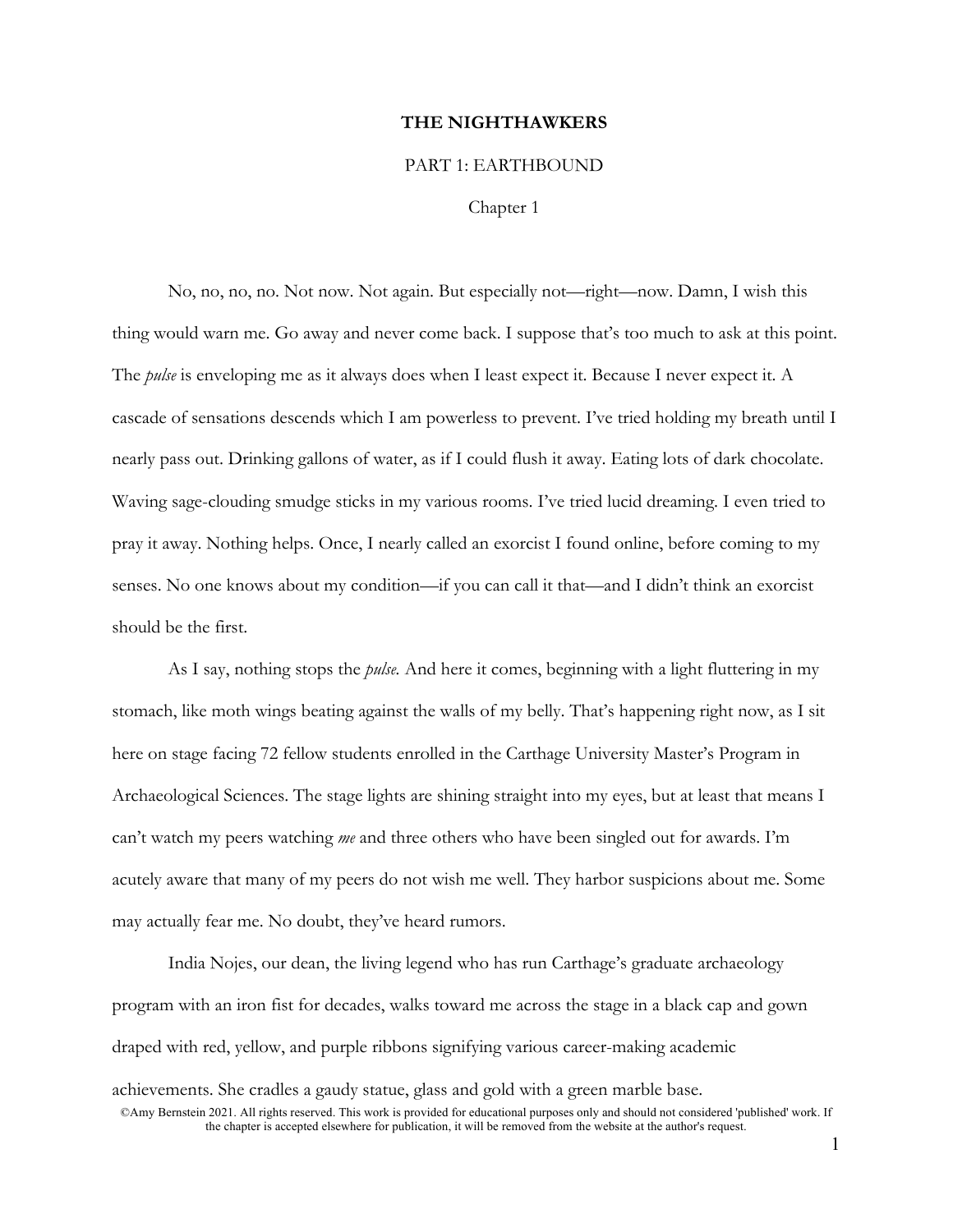## **THE NIGHTHAWKERS**

## PART 1: EARTHBOUND

Chapter 1

No, no, no, no. Not now. Not again. But especially not—right—now. Damn, I wish this thing would warn me. Go away and never come back. I suppose that's too much to ask at this point. The *pulse* is enveloping me as it always does when I least expect it. Because I never expect it. A cascade of sensations descends which I am powerless to prevent. I've tried holding my breath until I nearly pass out. Drinking gallons of water, as if I could flush it away. Eating lots of dark chocolate. Waving sage-clouding smudge sticks in my various rooms. I've tried lucid dreaming. I even tried to pray it away. Nothing helps. Once, I nearly called an exorcist I found online, before coming to my senses. No one knows about my condition—if you can call it that—and I didn't think an exorcist should be the first.

As I say, nothing stops the *pulse.* And here it comes, beginning with a light fluttering in my stomach, like moth wings beating against the walls of my belly. That's happening right now, as I sit here on stage facing 72 fellow students enrolled in the Carthage University Master's Program in Archaeological Sciences. The stage lights are shining straight into my eyes, but at least that means I can't watch my peers watching *me* and three others who have been singled out for awards. I'm acutely aware that many of my peers do not wish me well. They harbor suspicions about me. Some may actually fear me. No doubt, they've heard rumors.

India Nojes, our dean, the living legend who has run Carthage's graduate archaeology program with an iron fist for decades, walks toward me across the stage in a black cap and gown draped with red, yellow, and purple ribbons signifying various career-making academic

achievements. She cradles a gaudy statue, glass and gold with a green marble base.

<sup>©</sup>Amy Bernstein 2021. All rights reserved. This work is provided for educational purposes only and should not considered 'published' work. If the chapter is accepted elsewhere for publication, it will be removed from the website at the author's request.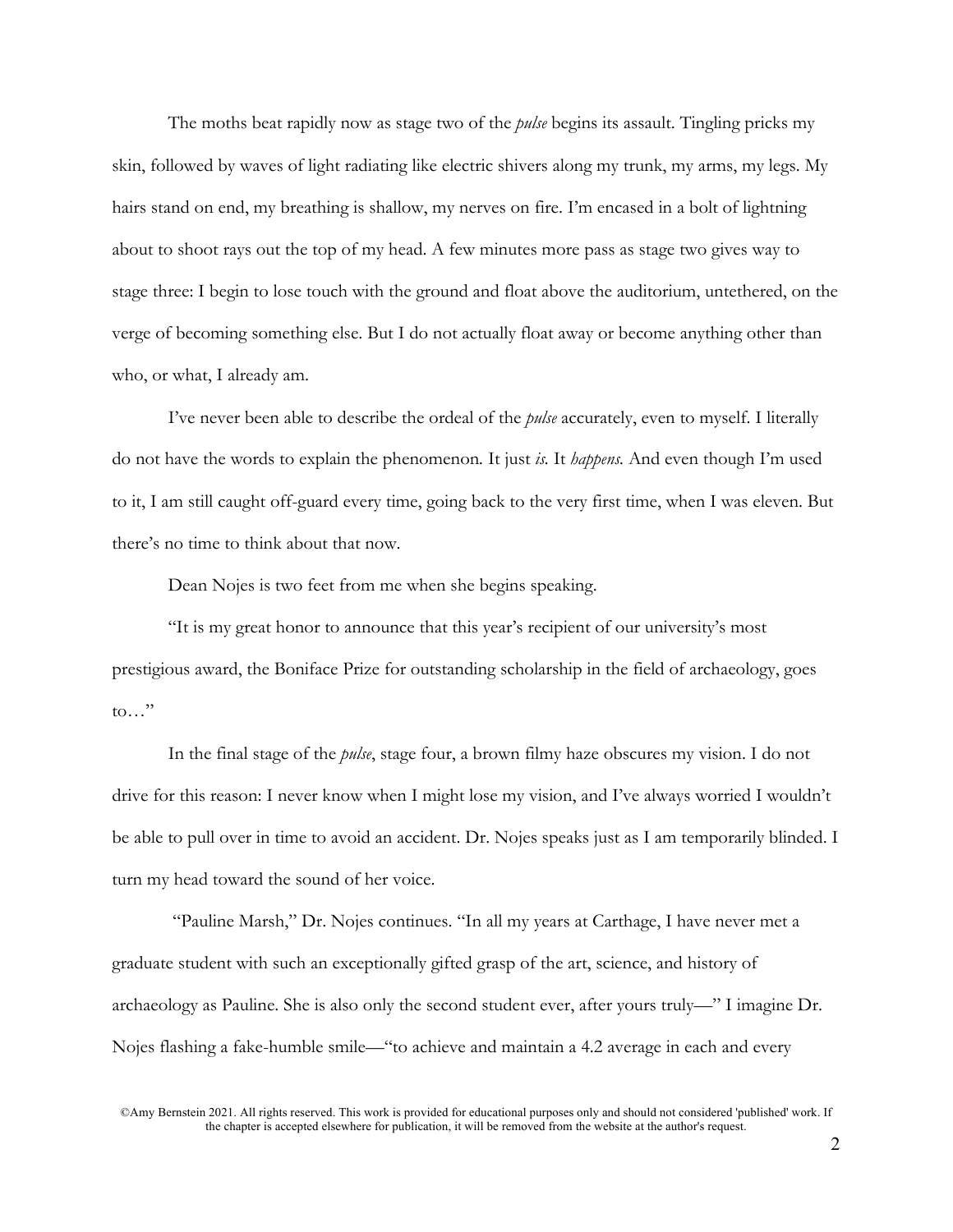The moths beat rapidly now as stage two of the *pulse* begins its assault. Tingling pricks my skin, followed by waves of light radiating like electric shivers along my trunk, my arms, my legs. My hairs stand on end, my breathing is shallow, my nerves on fire. I'm encased in a bolt of lightning about to shoot rays out the top of my head. A few minutes more pass as stage two gives way to stage three: I begin to lose touch with the ground and float above the auditorium, untethered, on the verge of becoming something else. But I do not actually float away or become anything other than who, or what, I already am.

I've never been able to describe the ordeal of the *pulse* accurately, even to myself. I literally do not have the words to explain the phenomenon*.* It just *is.* It *happens.* And even though I'm used to it, I am still caught off-guard every time, going back to the very first time, when I was eleven. But there's no time to think about that now.

Dean Nojes is two feet from me when she begins speaking.

"It is my great honor to announce that this year's recipient of our university's most prestigious award, the Boniface Prize for outstanding scholarship in the field of archaeology, goes to…"

In the final stage of the *pulse*, stage four, a brown filmy haze obscures my vision. I do not drive for this reason: I never know when I might lose my vision, and I've always worried I wouldn't be able to pull over in time to avoid an accident. Dr. Nojes speaks just as I am temporarily blinded. I turn my head toward the sound of her voice.

"Pauline Marsh," Dr. Nojes continues. "In all my years at Carthage, I have never met a graduate student with such an exceptionally gifted grasp of the art, science, and history of archaeology as Pauline. She is also only the second student ever, after yours truly—" I imagine Dr. Nojes flashing a fake-humble smile—"to achieve and maintain a 4.2 average in each and every

<sup>©</sup>Amy Bernstein 2021. All rights reserved. This work is provided for educational purposes only and should not considered 'published' work. If the chapter is accepted elsewhere for publication, it will be removed from the website at the author's request.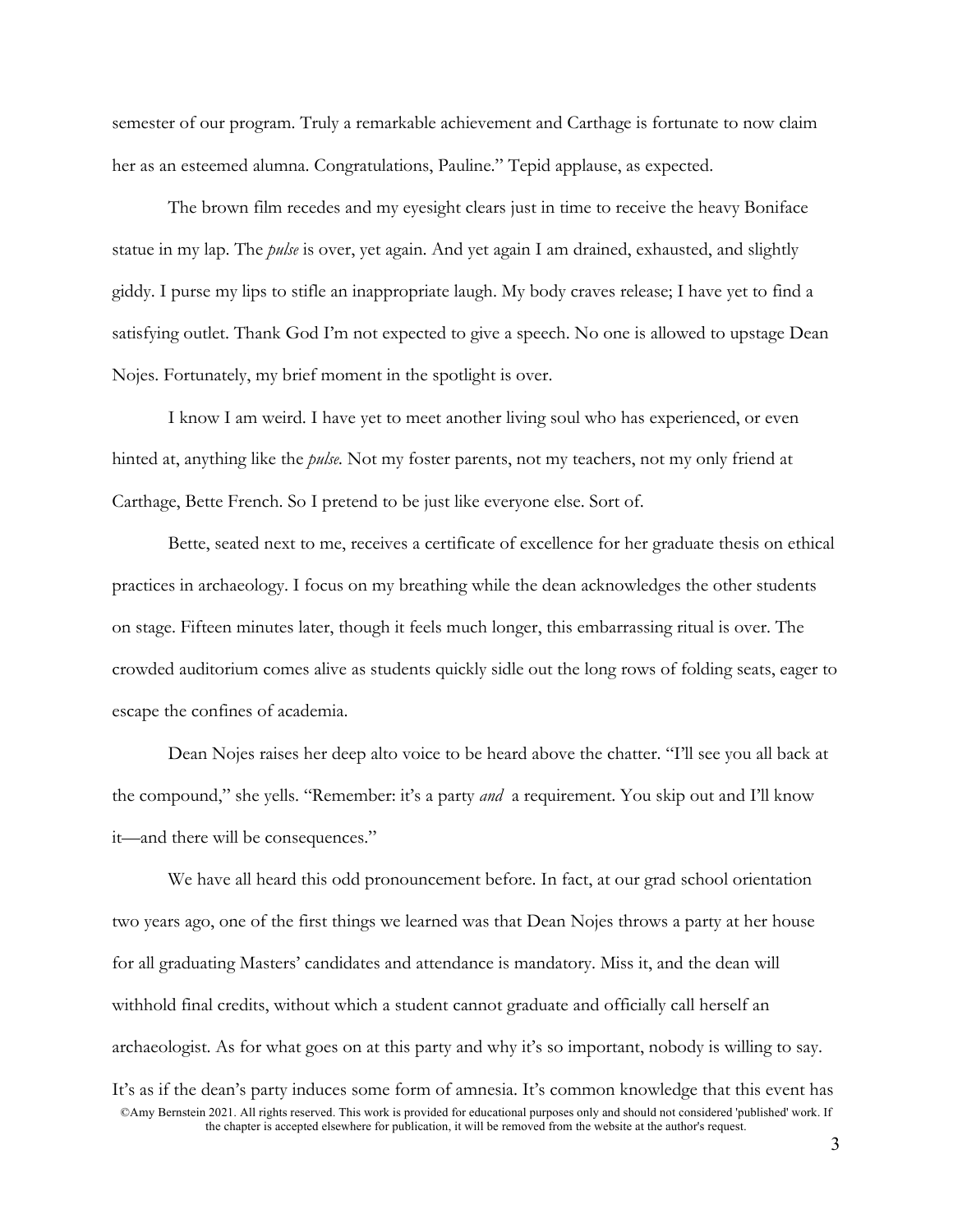semester of our program. Truly a remarkable achievement and Carthage is fortunate to now claim her as an esteemed alumna. Congratulations, Pauline." Tepid applause, as expected.

The brown film recedes and my eyesight clears just in time to receive the heavy Boniface statue in my lap. The *pulse* is over, yet again. And yet again I am drained, exhausted, and slightly giddy. I purse my lips to stifle an inappropriate laugh. My body craves release; I have yet to find a satisfying outlet. Thank God I'm not expected to give a speech. No one is allowed to upstage Dean Nojes. Fortunately, my brief moment in the spotlight is over.

I know I am weird. I have yet to meet another living soul who has experienced, or even hinted at, anything like the *pulse.* Not my foster parents, not my teachers, not my only friend at Carthage, Bette French. So I pretend to be just like everyone else. Sort of.

Bette, seated next to me, receives a certificate of excellence for her graduate thesis on ethical practices in archaeology. I focus on my breathing while the dean acknowledges the other students on stage. Fifteen minutes later, though it feels much longer, this embarrassing ritual is over. The crowded auditorium comes alive as students quickly sidle out the long rows of folding seats, eager to escape the confines of academia.

Dean Nojes raises her deep alto voice to be heard above the chatter. "I'll see you all back at the compound," she yells. "Remember: it's a party *and* a requirement. You skip out and I'll know it—and there will be consequences."

We have all heard this odd pronouncement before. In fact, at our grad school orientation two years ago, one of the first things we learned was that Dean Nojes throws a party at her house for all graduating Masters' candidates and attendance is mandatory. Miss it, and the dean will withhold final credits, without which a student cannot graduate and officially call herself an archaeologist. As for what goes on at this party and why it's so important, nobody is willing to say.

<sup>©</sup>Amy Bernstein 2021. All rights reserved. This work is provided for educational purposes only and should not considered 'published' work. If the chapter is accepted elsewhere for publication, it will be removed from the website at the author's request. It's as if the dean's party induces some form of amnesia. It's common knowledge that this event has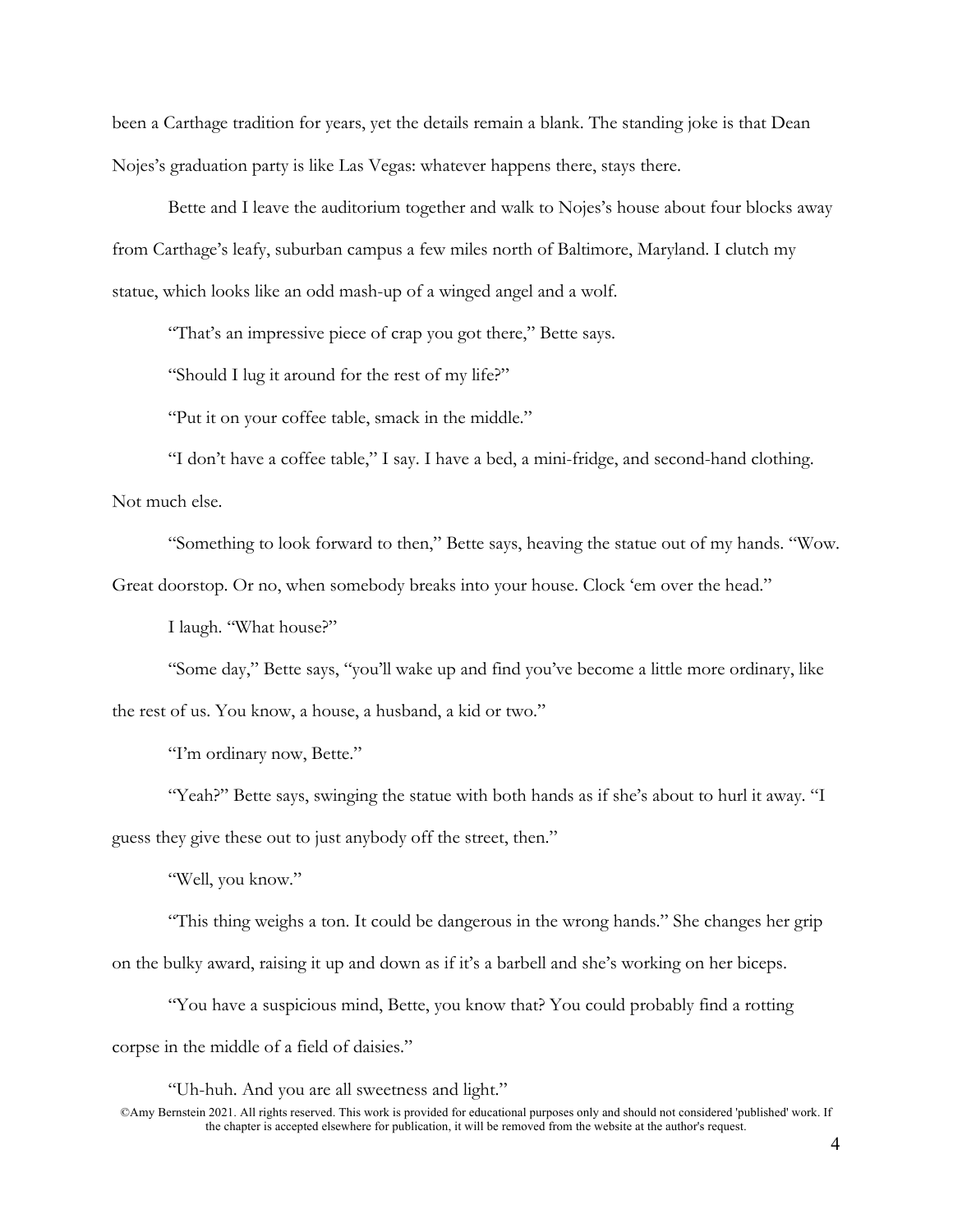been a Carthage tradition for years, yet the details remain a blank. The standing joke is that Dean Nojes's graduation party is like Las Vegas: whatever happens there, stays there.

Bette and I leave the auditorium together and walk to Nojes's house about four blocks away from Carthage's leafy, suburban campus a few miles north of Baltimore, Maryland. I clutch my statue, which looks like an odd mash-up of a winged angel and a wolf.

"That's an impressive piece of crap you got there," Bette says.

"Should I lug it around for the rest of my life?"

"Put it on your coffee table, smack in the middle."

"I don't have a coffee table," I say. I have a bed, a mini-fridge, and second-hand clothing. Not much else.

"Something to look forward to then," Bette says, heaving the statue out of my hands. "Wow.

Great doorstop. Or no, when somebody breaks into your house. Clock 'em over the head."

I laugh. "What house?"

"Some day," Bette says, "you'll wake up and find you've become a little more ordinary, like the rest of us. You know, a house, a husband, a kid or two."

"I'm ordinary now, Bette."

"Yeah?" Bette says, swinging the statue with both hands as if she's about to hurl it away. "I guess they give these out to just anybody off the street, then."

"Well, you know."

"This thing weighs a ton. It could be dangerous in the wrong hands." She changes her grip on the bulky award, raising it up and down as if it's a barbell and she's working on her biceps.

"You have a suspicious mind, Bette, you know that? You could probably find a rotting corpse in the middle of a field of daisies."

"Uh-huh. And you are all sweetness and light."

<sup>©</sup>Amy Bernstein 2021. All rights reserved. This work is provided for educational purposes only and should not considered 'published' work. If the chapter is accepted elsewhere for publication, it will be removed from the website at the author's request.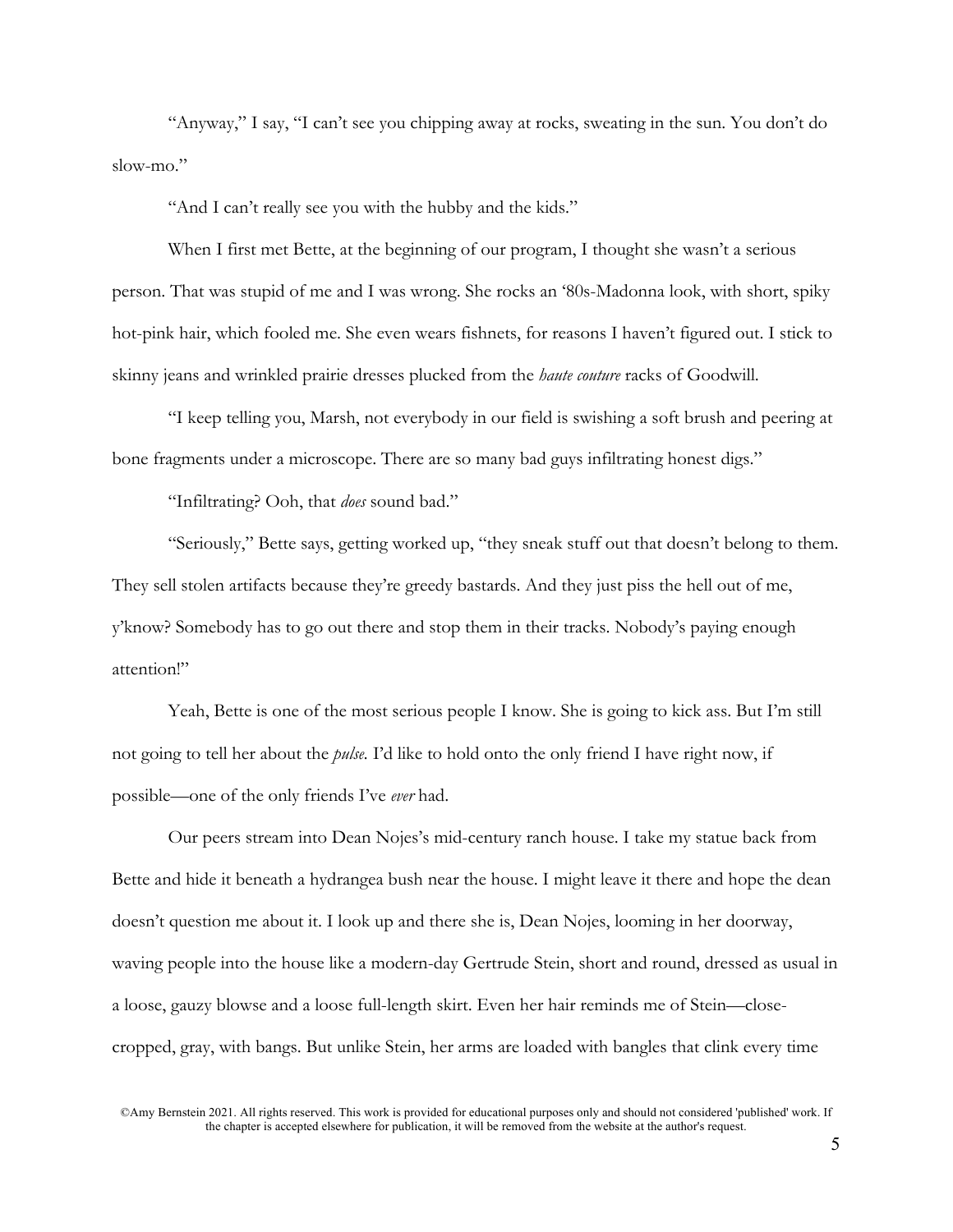"Anyway," I say, "I can't see you chipping away at rocks, sweating in the sun. You don't do slow-mo."

"And I can't really see you with the hubby and the kids."

When I first met Bette, at the beginning of our program, I thought she wasn't a serious person. That was stupid of me and I was wrong. She rocks an '80s-Madonna look, with short, spiky hot-pink hair, which fooled me. She even wears fishnets, for reasons I haven't figured out. I stick to skinny jeans and wrinkled prairie dresses plucked from the *haute couture* racks of Goodwill.

"I keep telling you, Marsh, not everybody in our field is swishing a soft brush and peering at bone fragments under a microscope. There are so many bad guys infiltrating honest digs."

"Infiltrating? Ooh, that *does* sound bad."

"Seriously," Bette says, getting worked up, "they sneak stuff out that doesn't belong to them. They sell stolen artifacts because they're greedy bastards. And they just piss the hell out of me, y'know? Somebody has to go out there and stop them in their tracks. Nobody's paying enough attention!"

Yeah, Bette is one of the most serious people I know. She is going to kick ass. But I'm still not going to tell her about the *pulse.* I'd like to hold onto the only friend I have right now, if possible—one of the only friends I've *ever* had.

Our peers stream into Dean Nojes's mid-century ranch house. I take my statue back from Bette and hide it beneath a hydrangea bush near the house. I might leave it there and hope the dean doesn't question me about it. I look up and there she is, Dean Nojes, looming in her doorway, waving people into the house like a modern-day Gertrude Stein, short and round, dressed as usual in a loose, gauzy blowse and a loose full-length skirt. Even her hair reminds me of Stein—closecropped, gray, with bangs. But unlike Stein, her arms are loaded with bangles that clink every time

©Amy Bernstein 2021. All rights reserved. This work is provided for educational purposes only and should not considered 'published' work. If the chapter is accepted elsewhere for publication, it will be removed from the website at the author's request.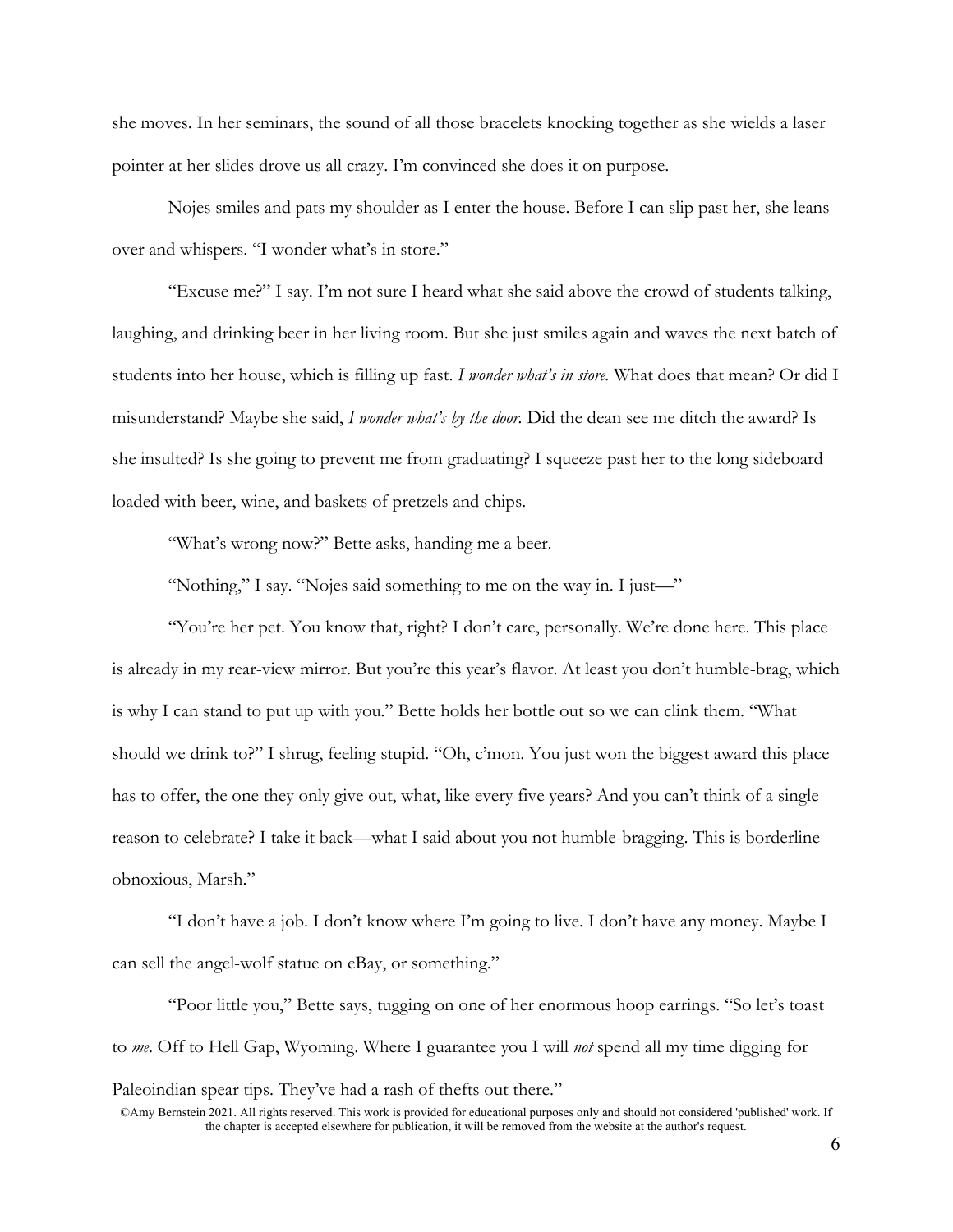she moves. In her seminars, the sound of all those bracelets knocking together as she wields a laser pointer at her slides drove us all crazy. I'm convinced she does it on purpose.

Nojes smiles and pats my shoulder as I enter the house. Before I can slip past her, she leans over and whispers. "I wonder what's in store."

"Excuse me?" I say. I'm not sure I heard what she said above the crowd of students talking, laughing, and drinking beer in her living room. But she just smiles again and waves the next batch of students into her house, which is filling up fast. *I wonder what's in store.* What does that mean? Or did I misunderstand? Maybe she said, *I wonder what's by the door.* Did the dean see me ditch the award? Is she insulted? Is she going to prevent me from graduating? I squeeze past her to the long sideboard loaded with beer, wine, and baskets of pretzels and chips.

"What's wrong now?" Bette asks, handing me a beer.

"Nothing," I say. "Nojes said something to me on the way in. I just—"

"You're her pet. You know that, right? I don't care, personally. We're done here. This place is already in my rear-view mirror. But you're this year's flavor. At least you don't humble-brag, which is why I can stand to put up with you." Bette holds her bottle out so we can clink them. "What should we drink to?" I shrug, feeling stupid. "Oh, c'mon. You just won the biggest award this place has to offer, the one they only give out, what, like every five years? And you can't think of a single reason to celebrate? I take it back—what I said about you not humble-bragging. This is borderline obnoxious, Marsh."

"I don't have a job. I don't know where I'm going to live. I don't have any money. Maybe I can sell the angel-wolf statue on eBay, or something."

"Poor little you," Bette says, tugging on one of her enormous hoop earrings. "So let's toast to *me*. Off to Hell Gap, Wyoming. Where I guarantee you I will *not* spend all my time digging for Paleoindian spear tips. They've had a rash of thefts out there."

<sup>©</sup>Amy Bernstein 2021. All rights reserved. This work is provided for educational purposes only and should not considered 'published' work. If the chapter is accepted elsewhere for publication, it will be removed from the website at the author's request.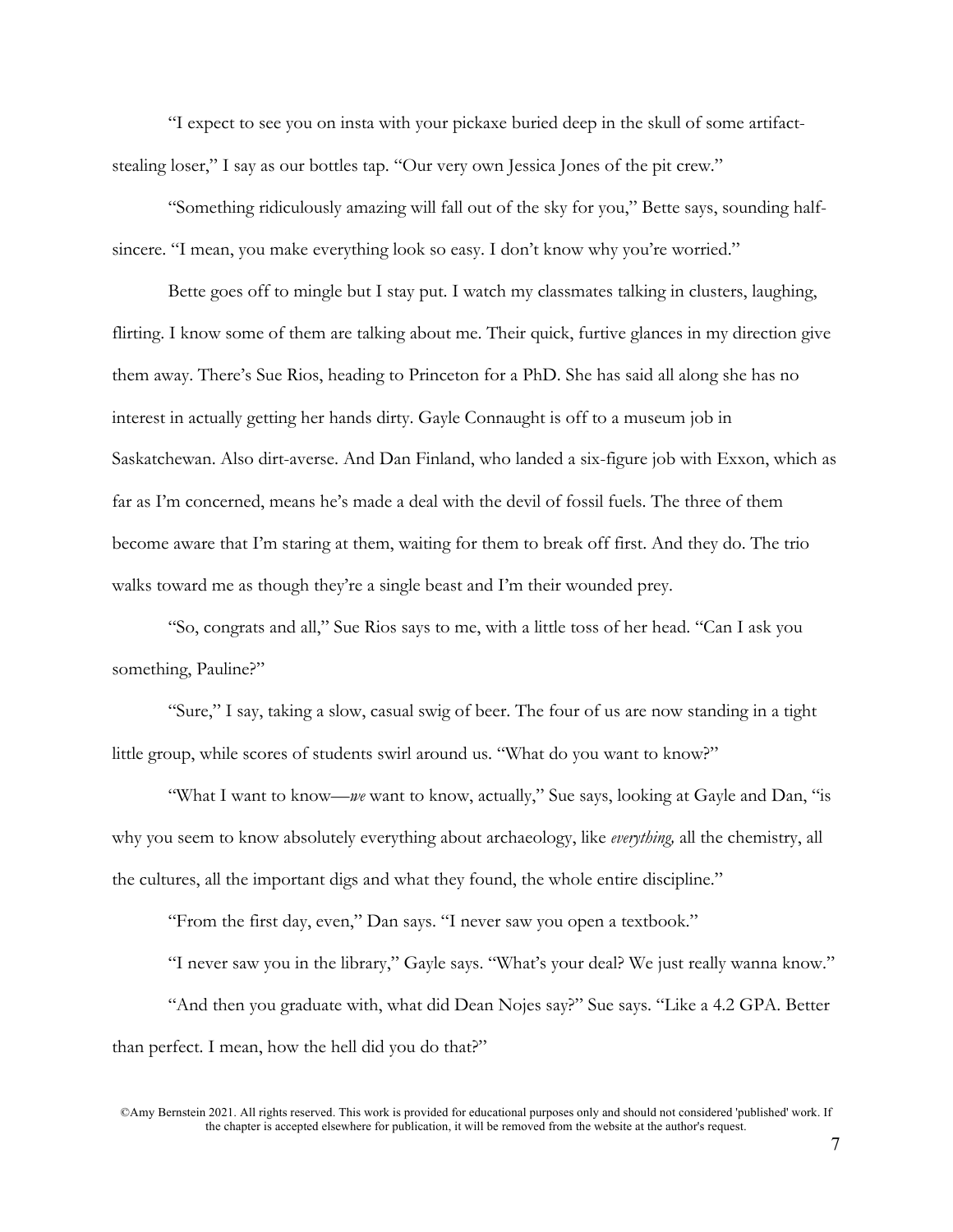"I expect to see you on insta with your pickaxe buried deep in the skull of some artifactstealing loser," I say as our bottles tap. "Our very own Jessica Jones of the pit crew."

"Something ridiculously amazing will fall out of the sky for you," Bette says, sounding halfsincere. "I mean, you make everything look so easy. I don't know why you're worried."

Bette goes off to mingle but I stay put. I watch my classmates talking in clusters, laughing, flirting. I know some of them are talking about me. Their quick, furtive glances in my direction give them away. There's Sue Rios, heading to Princeton for a PhD. She has said all along she has no interest in actually getting her hands dirty. Gayle Connaught is off to a museum job in Saskatchewan. Also dirt-averse. And Dan Finland, who landed a six-figure job with Exxon, which as far as I'm concerned, means he's made a deal with the devil of fossil fuels. The three of them become aware that I'm staring at them, waiting for them to break off first. And they do. The trio walks toward me as though they're a single beast and I'm their wounded prey.

"So, congrats and all," Sue Rios says to me, with a little toss of her head. "Can I ask you something, Pauline?"

"Sure," I say, taking a slow, casual swig of beer. The four of us are now standing in a tight little group, while scores of students swirl around us. "What do you want to know?"

"What I want to know—*we* want to know, actually," Sue says, looking at Gayle and Dan, "is why you seem to know absolutely everything about archaeology, like *everything,* all the chemistry, all the cultures, all the important digs and what they found, the whole entire discipline."

"From the first day, even," Dan says. "I never saw you open a textbook."

"I never saw you in the library," Gayle says. "What's your deal? We just really wanna know." "And then you graduate with, what did Dean Nojes say?" Sue says. "Like a 4.2 GPA. Better than perfect. I mean, how the hell did you do that?"

©Amy Bernstein 2021. All rights reserved. This work is provided for educational purposes only and should not considered 'published' work. If the chapter is accepted elsewhere for publication, it will be removed from the website at the author's request.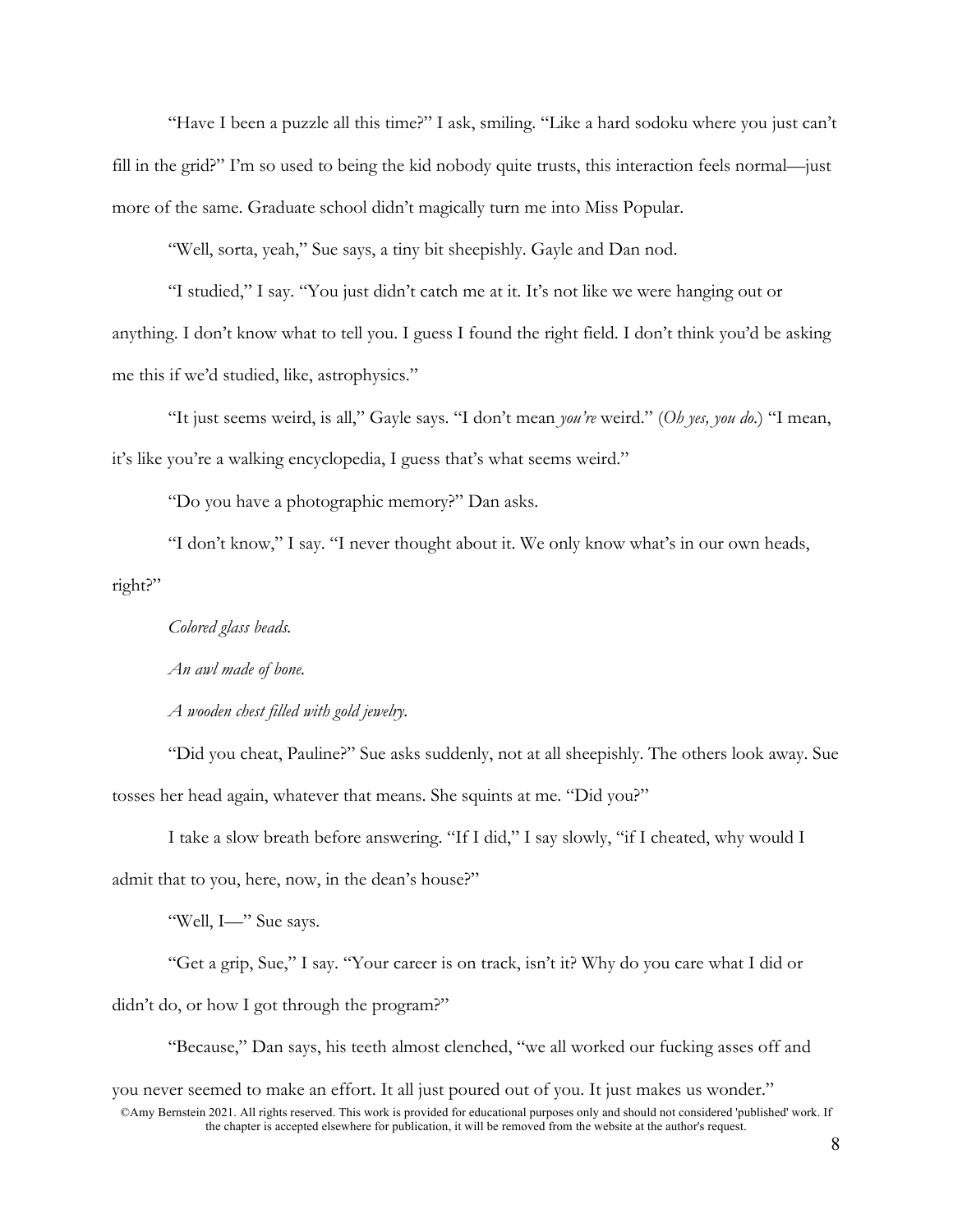"Have I been a puzzle all this time?" I ask, smiling. "Like a hard sodoku where you just can't fill in the grid?" I'm so used to being the kid nobody quite trusts, this interaction feels normal—just more of the same. Graduate school didn't magically turn me into Miss Popular.

"Well, sorta, yeah," Sue says, a tiny bit sheepishly. Gayle and Dan nod.

"I studied," I say. "You just didn't catch me at it. It's not like we were hanging out or anything. I don't know what to tell you. I guess I found the right field. I don't think you'd be asking me this if we'd studied, like, astrophysics."

"It just seems weird, is all," Gayle says. "I don't mean *you're* weird." (*Oh yes, you do.*) "I mean, it's like you're a walking encyclopedia, I guess that's what seems weird."

"Do you have a photographic memory?" Dan asks.

"I don't know," I say. "I never thought about it. We only know what's in our own heads, right?"

*Colored glass beads.*

*An awl made of bone.*

*A wooden chest filled with gold jewelry.*

"Did you cheat, Pauline?" Sue asks suddenly, not at all sheepishly. The others look away. Sue tosses her head again, whatever that means. She squints at me. "Did you?"

I take a slow breath before answering. "If I did," I say slowly, "if I cheated, why would I admit that to you, here, now, in the dean's house?"

"Well, I—" Sue says.

"Get a grip, Sue," I say. "Your career is on track, isn't it? Why do you care what I did or didn't do, or how I got through the program?"

"Because," Dan says, his teeth almost clenched, "we all worked our fucking asses off and

you never seemed to make an effort. It all just poured out of you. It just makes us wonder."

<sup>©</sup>Amy Bernstein 2021. All rights reserved. This work is provided for educational purposes only and should not considered 'published' work. If the chapter is accepted elsewhere for publication, it will be removed from the website at the author's request.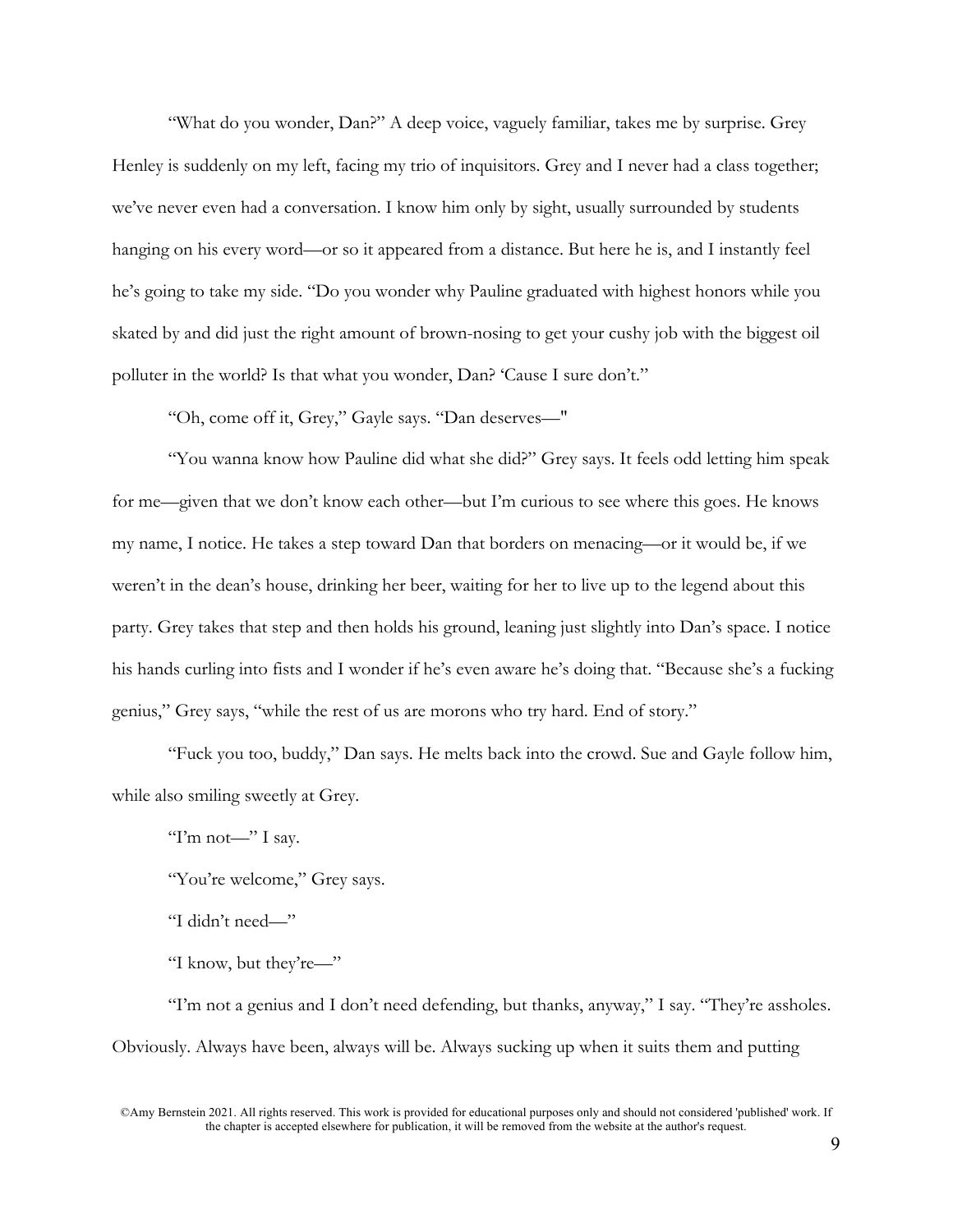"What do you wonder, Dan?" A deep voice, vaguely familiar, takes me by surprise. Grey Henley is suddenly on my left, facing my trio of inquisitors. Grey and I never had a class together; we've never even had a conversation. I know him only by sight, usually surrounded by students hanging on his every word—or so it appeared from a distance. But here he is, and I instantly feel he's going to take my side. "Do you wonder why Pauline graduated with highest honors while you skated by and did just the right amount of brown-nosing to get your cushy job with the biggest oil polluter in the world? Is that what you wonder, Dan? 'Cause I sure don't."

"Oh, come off it, Grey," Gayle says. "Dan deserves—"

"You wanna know how Pauline did what she did?" Grey says. It feels odd letting him speak for me—given that we don't know each other—but I'm curious to see where this goes. He knows my name, I notice. He takes a step toward Dan that borders on menacing—or it would be, if we weren't in the dean's house, drinking her beer, waiting for her to live up to the legend about this party. Grey takes that step and then holds his ground, leaning just slightly into Dan's space. I notice his hands curling into fists and I wonder if he's even aware he's doing that. "Because she's a fucking genius," Grey says, "while the rest of us are morons who try hard. End of story."

"Fuck you too, buddy," Dan says. He melts back into the crowd. Sue and Gayle follow him, while also smiling sweetly at Grey.

"I'm not—" I say.

"You're welcome," Grey says.

"I didn't need—"

"I know, but they're—"

"I'm not a genius and I don't need defending, but thanks, anyway," I say. "They're assholes. Obviously. Always have been, always will be. Always sucking up when it suits them and putting

<sup>©</sup>Amy Bernstein 2021. All rights reserved. This work is provided for educational purposes only and should not considered 'published' work. If the chapter is accepted elsewhere for publication, it will be removed from the website at the author's request.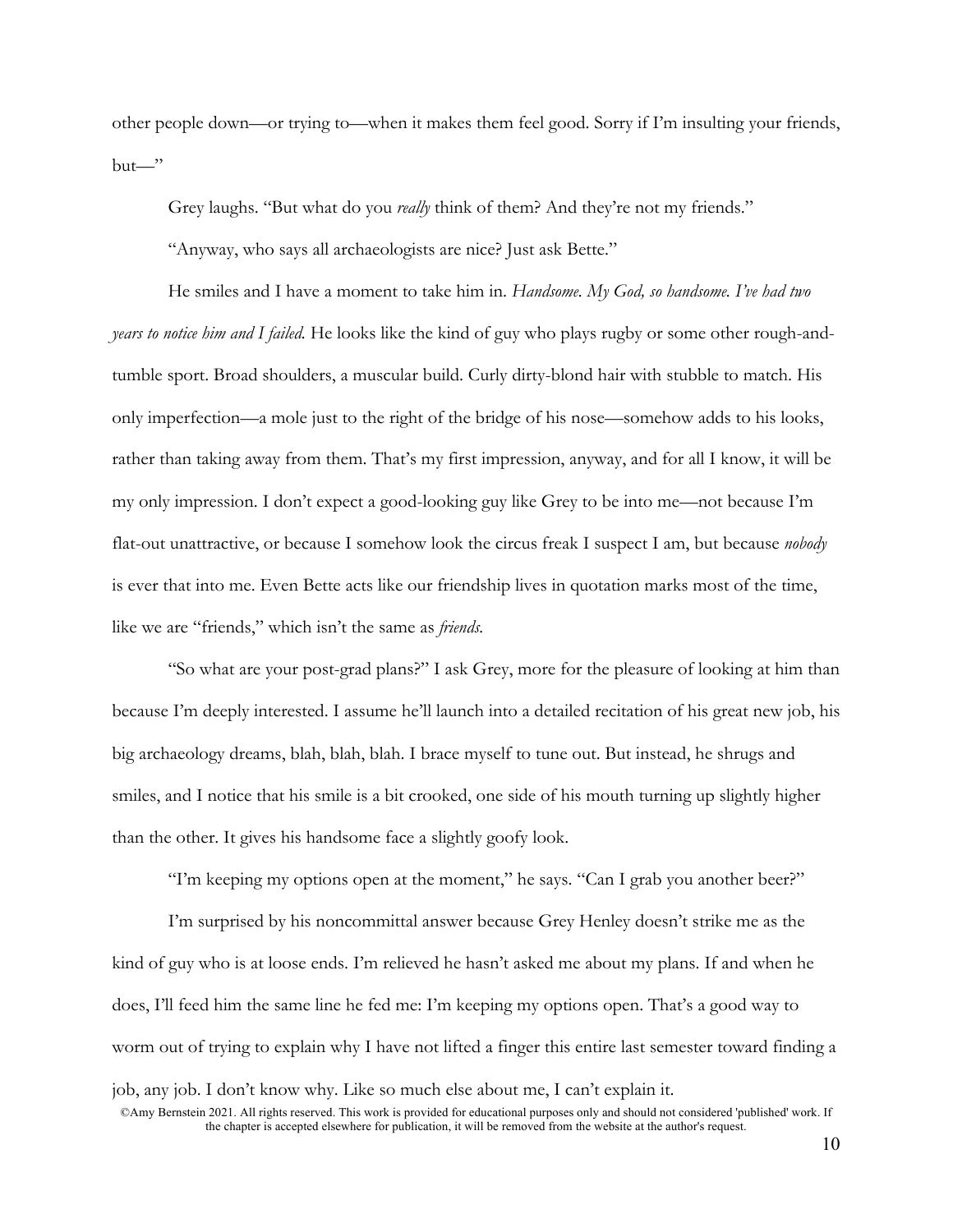other people down—or trying to—when it makes them feel good. Sorry if I'm insulting your friends,  $but$ —"

Grey laughs. "But what do you *really* think of them? And they're not my friends."

"Anyway, who says all archaeologists are nice? Just ask Bette."

He smiles and I have a moment to take him in. *Handsome. My God, so handsome. I've had two years to notice him and I failed.* He looks like the kind of guy who plays rugby or some other rough-andtumble sport. Broad shoulders, a muscular build. Curly dirty-blond hair with stubble to match. His only imperfection—a mole just to the right of the bridge of his nose—somehow adds to his looks, rather than taking away from them. That's my first impression, anyway, and for all I know, it will be my only impression. I don't expect a good-looking guy like Grey to be into me—not because I'm flat-out unattractive, or because I somehow look the circus freak I suspect I am, but because *nobody*  is ever that into me. Even Bette acts like our friendship lives in quotation marks most of the time, like we are "friends," which isn't the same as *friends.* 

"So what are your post-grad plans?" I ask Grey, more for the pleasure of looking at him than because I'm deeply interested. I assume he'll launch into a detailed recitation of his great new job, his big archaeology dreams, blah, blah, blah. I brace myself to tune out. But instead, he shrugs and smiles, and I notice that his smile is a bit crooked, one side of his mouth turning up slightly higher than the other. It gives his handsome face a slightly goofy look.

"I'm keeping my options open at the moment," he says. "Can I grab you another beer?" I'm surprised by his noncommittal answer because Grey Henley doesn't strike me as the kind of guy who is at loose ends. I'm relieved he hasn't asked me about my plans. If and when he does, I'll feed him the same line he fed me: I'm keeping my options open. That's a good way to worm out of trying to explain why I have not lifted a finger this entire last semester toward finding a job, any job. I don't know why. Like so much else about me, I can't explain it.

<sup>©</sup>Amy Bernstein 2021. All rights reserved. This work is provided for educational purposes only and should not considered 'published' work. If the chapter is accepted elsewhere for publication, it will be removed from the website at the author's request.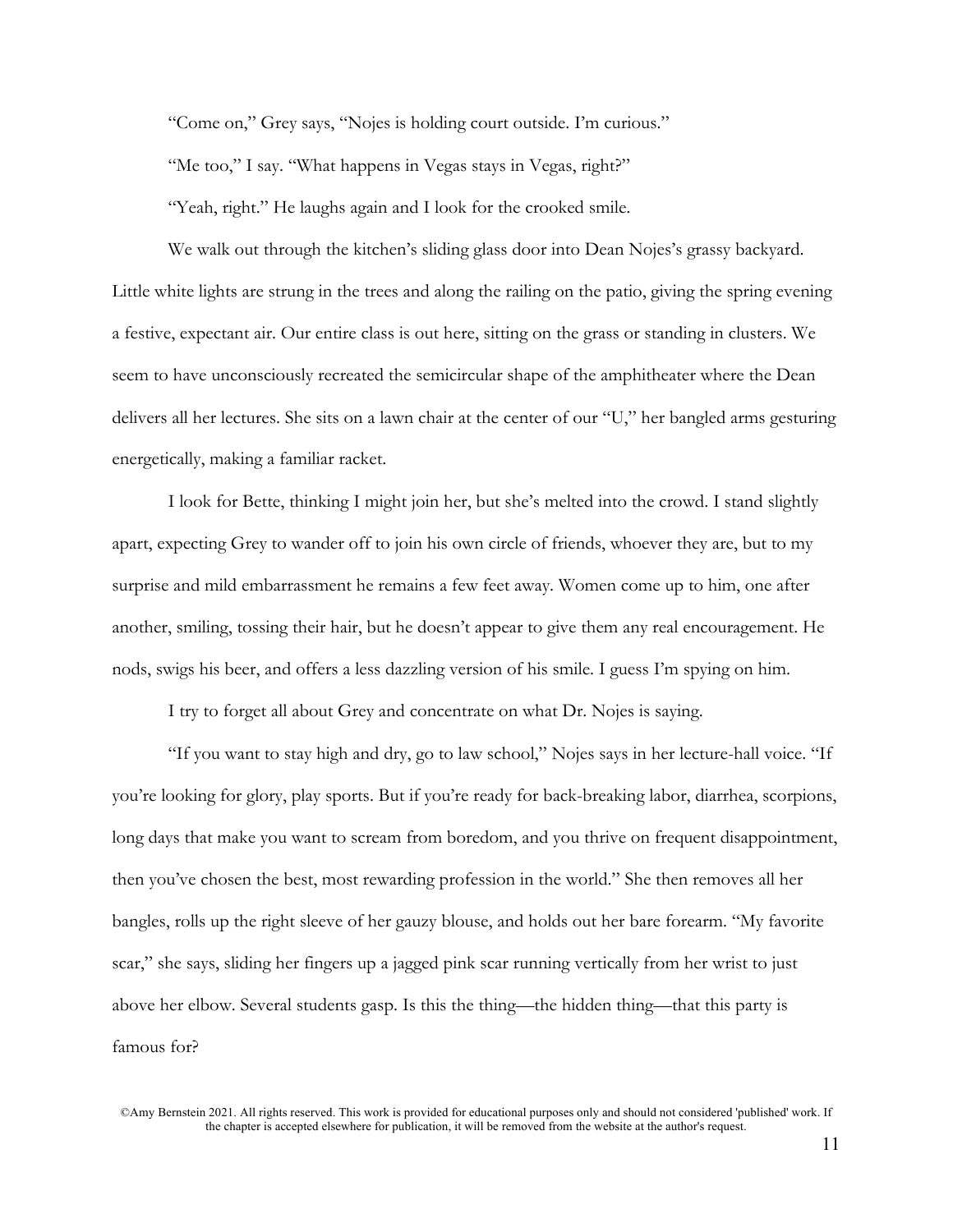"Come on," Grey says, "Nojes is holding court outside. I'm curious."

"Me too," I say. "What happens in Vegas stays in Vegas, right?"

"Yeah, right." He laughs again and I look for the crooked smile.

We walk out through the kitchen's sliding glass door into Dean Nojes's grassy backyard. Little white lights are strung in the trees and along the railing on the patio, giving the spring evening a festive, expectant air. Our entire class is out here, sitting on the grass or standing in clusters. We seem to have unconsciously recreated the semicircular shape of the amphitheater where the Dean delivers all her lectures. She sits on a lawn chair at the center of our "U," her bangled arms gesturing energetically, making a familiar racket.

I look for Bette, thinking I might join her, but she's melted into the crowd. I stand slightly apart, expecting Grey to wander off to join his own circle of friends, whoever they are, but to my surprise and mild embarrassment he remains a few feet away. Women come up to him, one after another, smiling, tossing their hair, but he doesn't appear to give them any real encouragement. He nods, swigs his beer, and offers a less dazzling version of his smile. I guess I'm spying on him.

I try to forget all about Grey and concentrate on what Dr. Nojes is saying.

"If you want to stay high and dry, go to law school," Nojes says in her lecture-hall voice. "If you're looking for glory, play sports. But if you're ready for back-breaking labor, diarrhea, scorpions, long days that make you want to scream from boredom, and you thrive on frequent disappointment, then you've chosen the best, most rewarding profession in the world." She then removes all her bangles, rolls up the right sleeve of her gauzy blouse, and holds out her bare forearm. "My favorite scar," she says, sliding her fingers up a jagged pink scar running vertically from her wrist to just above her elbow. Several students gasp. Is this the thing—the hidden thing—that this party is famous for?

<sup>©</sup>Amy Bernstein 2021. All rights reserved. This work is provided for educational purposes only and should not considered 'published' work. If the chapter is accepted elsewhere for publication, it will be removed from the website at the author's request.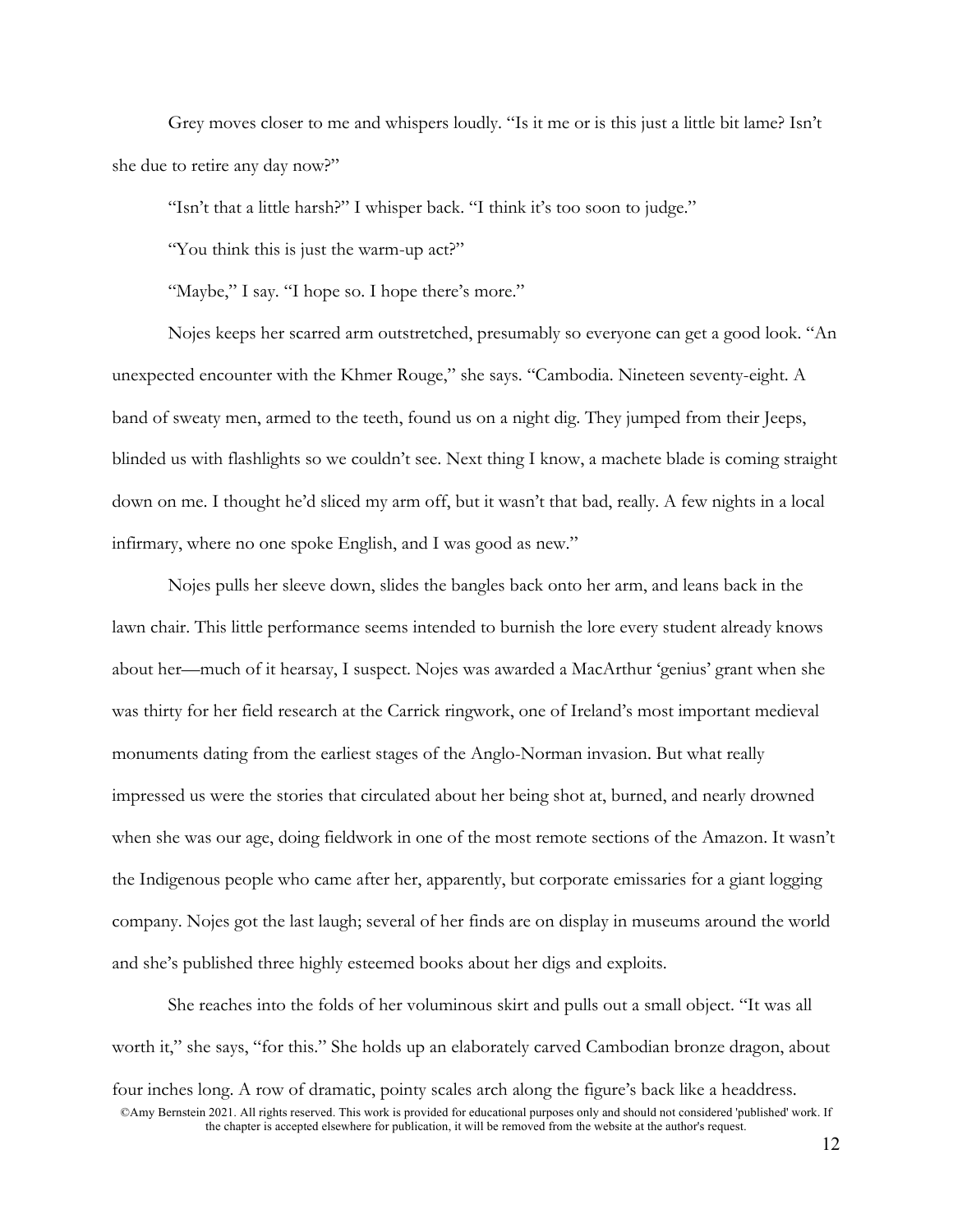Grey moves closer to me and whispers loudly. "Is it me or is this just a little bit lame? Isn't she due to retire any day now?"

"Isn't that a little harsh?" I whisper back. "I think it's too soon to judge."

"You think this is just the warm-up act?"

"Maybe," I say. "I hope so. I hope there's more."

Nojes keeps her scarred arm outstretched, presumably so everyone can get a good look. "An unexpected encounter with the Khmer Rouge," she says. "Cambodia. Nineteen seventy-eight. A band of sweaty men, armed to the teeth, found us on a night dig. They jumped from their Jeeps, blinded us with flashlights so we couldn't see. Next thing I know, a machete blade is coming straight down on me. I thought he'd sliced my arm off, but it wasn't that bad, really. A few nights in a local infirmary, where no one spoke English, and I was good as new."

Nojes pulls her sleeve down, slides the bangles back onto her arm, and leans back in the lawn chair. This little performance seems intended to burnish the lore every student already knows about her—much of it hearsay, I suspect. Nojes was awarded a MacArthur 'genius' grant when she was thirty for her field research at the Carrick ringwork, one of Ireland's most important medieval monuments dating from the earliest stages of the Anglo-Norman invasion. But what really impressed us were the stories that circulated about her being shot at, burned, and nearly drowned when she was our age, doing fieldwork in one of the most remote sections of the Amazon. It wasn't the Indigenous people who came after her, apparently, but corporate emissaries for a giant logging company. Nojes got the last laugh; several of her finds are on display in museums around the world and she's published three highly esteemed books about her digs and exploits.

©Amy Bernstein 2021. All rights reserved. This work is provided for educational purposes only and should not considered 'published' work. If the chapter is accepted elsewhere for publication, it will be removed from the website at the author's request. She reaches into the folds of her voluminous skirt and pulls out a small object. "It was all worth it," she says, "for this." She holds up an elaborately carved Cambodian bronze dragon, about four inches long. A row of dramatic, pointy scales arch along the figure's back like a headdress.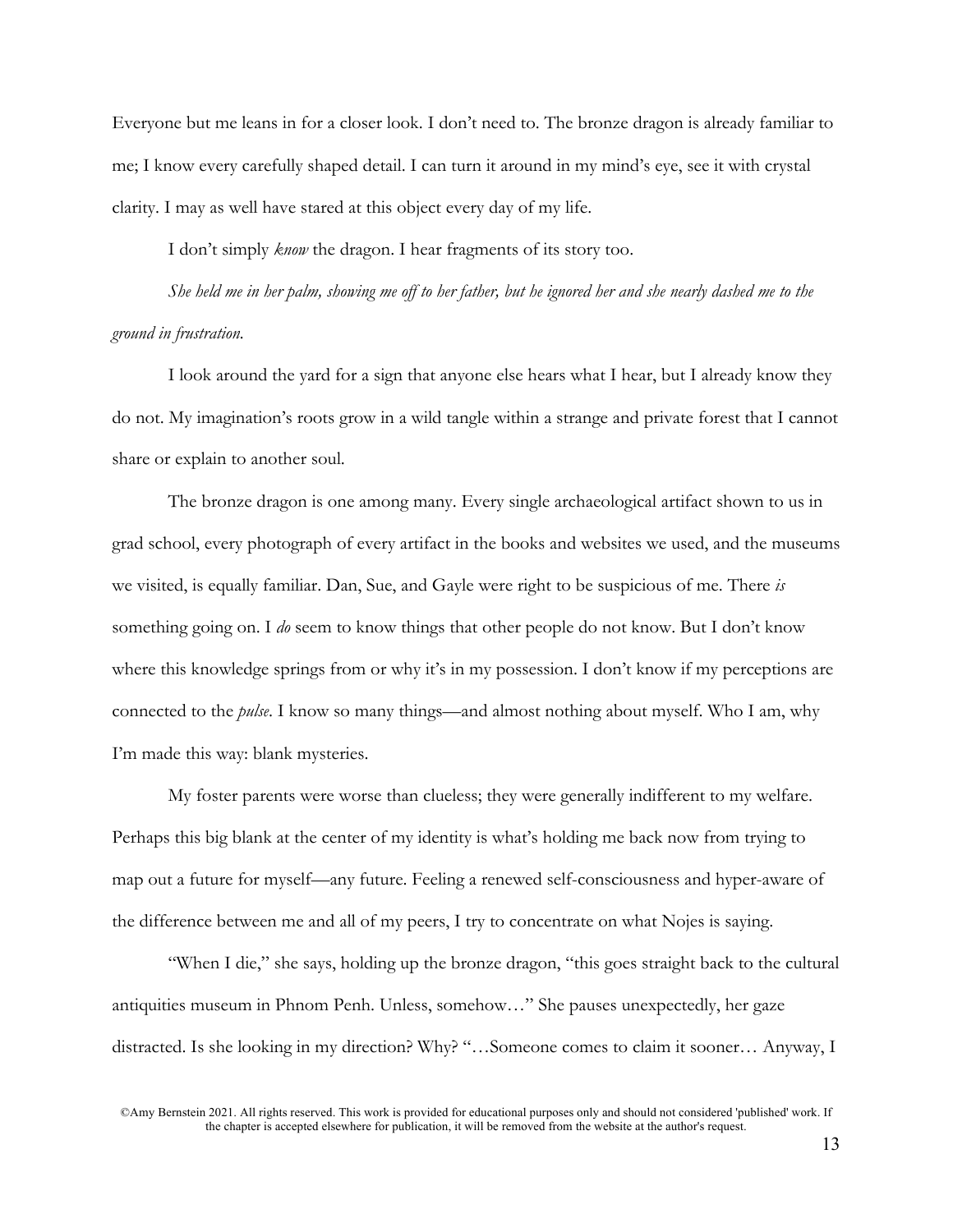Everyone but me leans in for a closer look. I don't need to. The bronze dragon is already familiar to me; I know every carefully shaped detail. I can turn it around in my mind's eye, see it with crystal clarity. I may as well have stared at this object every day of my life.

I don't simply *know* the dragon. I hear fragments of its story too.

*She held me in her palm, showing me off to her father, but he ignored her and she nearly dashed me to the ground in frustration.*

I look around the yard for a sign that anyone else hears what I hear, but I already know they do not. My imagination's roots grow in a wild tangle within a strange and private forest that I cannot share or explain to another soul.

The bronze dragon is one among many. Every single archaeological artifact shown to us in grad school, every photograph of every artifact in the books and websites we used, and the museums we visited, is equally familiar. Dan, Sue, and Gayle were right to be suspicious of me. There *is*  something going on. I *do* seem to know things that other people do not know. But I don't know where this knowledge springs from or why it's in my possession. I don't know if my perceptions are connected to the *pulse*. I know so many things—and almost nothing about myself. Who I am, why I'm made this way: blank mysteries.

My foster parents were worse than clueless; they were generally indifferent to my welfare. Perhaps this big blank at the center of my identity is what's holding me back now from trying to map out a future for myself—any future. Feeling a renewed self-consciousness and hyper-aware of the difference between me and all of my peers, I try to concentrate on what Nojes is saying.

"When I die," she says, holding up the bronze dragon, "this goes straight back to the cultural antiquities museum in Phnom Penh. Unless, somehow…" She pauses unexpectedly, her gaze distracted. Is she looking in my direction? Why? "…Someone comes to claim it sooner… Anyway, I

©Amy Bernstein 2021. All rights reserved. This work is provided for educational purposes only and should not considered 'published' work. If the chapter is accepted elsewhere for publication, it will be removed from the website at the author's request.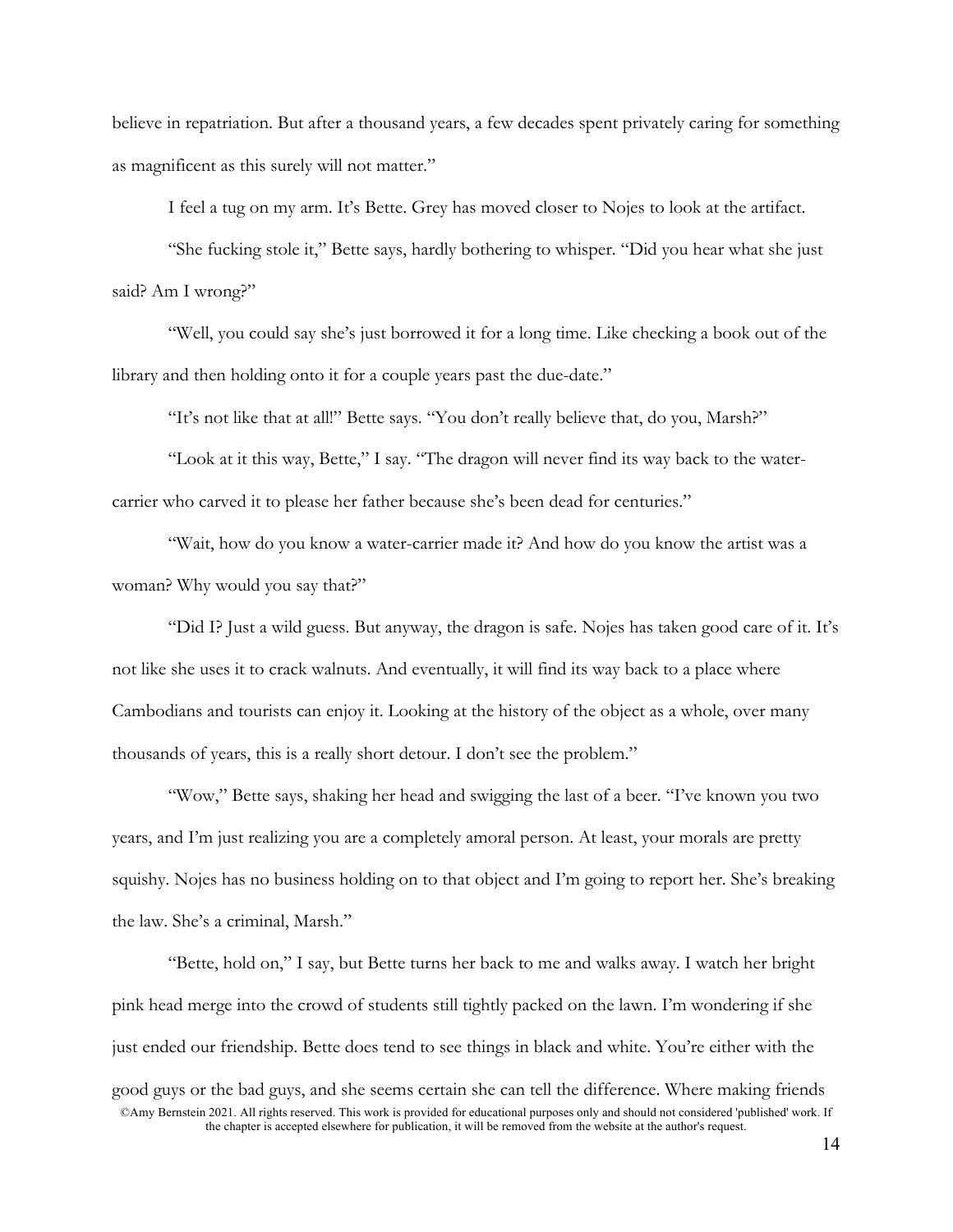believe in repatriation. But after a thousand years, a few decades spent privately caring for something as magnificent as this surely will not matter."

I feel a tug on my arm. It's Bette. Grey has moved closer to Nojes to look at the artifact.

"She fucking stole it," Bette says, hardly bothering to whisper. "Did you hear what she just said? Am I wrong?"

"Well, you could say she's just borrowed it for a long time. Like checking a book out of the library and then holding onto it for a couple years past the due-date."

"It's not like that at all!" Bette says. "You don't really believe that, do you, Marsh?"

"Look at it this way, Bette," I say. "The dragon will never find its way back to the watercarrier who carved it to please her father because she's been dead for centuries."

"Wait, how do you know a water-carrier made it? And how do you know the artist was a woman? Why would you say that?"

"Did I? Just a wild guess. But anyway, the dragon is safe. Nojes has taken good care of it. It's not like she uses it to crack walnuts. And eventually, it will find its way back to a place where Cambodians and tourists can enjoy it. Looking at the history of the object as a whole, over many thousands of years, this is a really short detour. I don't see the problem."

"Wow," Bette says, shaking her head and swigging the last of a beer. "I've known you two years, and I'm just realizing you are a completely amoral person. At least, your morals are pretty squishy. Nojes has no business holding on to that object and I'm going to report her. She's breaking the law. She's a criminal, Marsh."

©Amy Bernstein 2021. All rights reserved. This work is provided for educational purposes only and should not considered 'published' work. If the chapter is accepted elsewhere for publication, it will be removed from the website at the author's request. "Bette, hold on," I say, but Bette turns her back to me and walks away. I watch her bright pink head merge into the crowd of students still tightly packed on the lawn. I'm wondering if she just ended our friendship. Bette does tend to see things in black and white. You're either with the good guys or the bad guys, and she seems certain she can tell the difference. Where making friends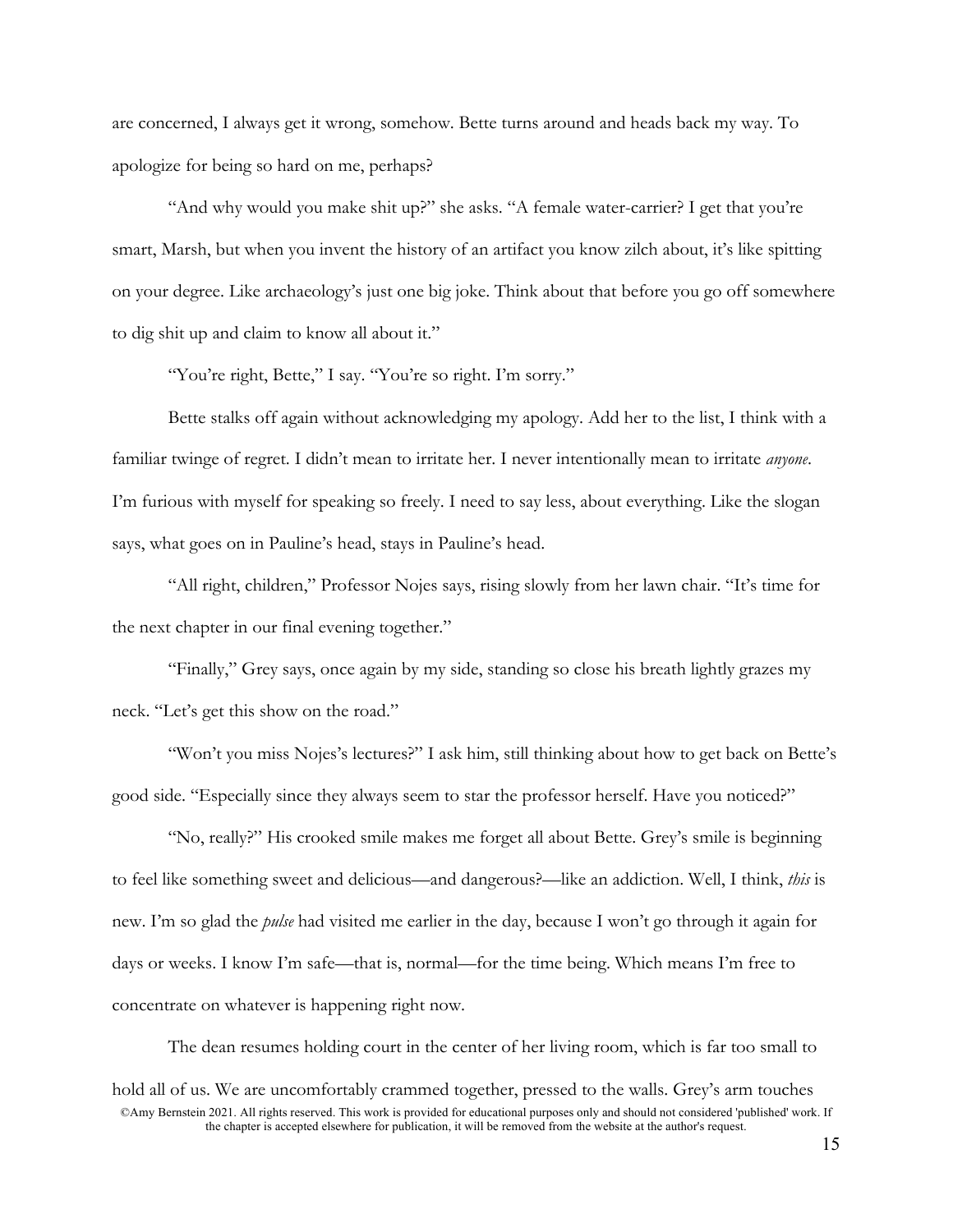are concerned, I always get it wrong, somehow. Bette turns around and heads back my way. To apologize for being so hard on me, perhaps?

"And why would you make shit up?" she asks. "A female water-carrier? I get that you're smart, Marsh, but when you invent the history of an artifact you know zilch about, it's like spitting on your degree. Like archaeology's just one big joke. Think about that before you go off somewhere to dig shit up and claim to know all about it."

"You're right, Bette," I say. "You're so right. I'm sorry."

Bette stalks off again without acknowledging my apology. Add her to the list, I think with a familiar twinge of regret. I didn't mean to irritate her. I never intentionally mean to irritate *anyone*. I'm furious with myself for speaking so freely. I need to say less, about everything. Like the slogan says, what goes on in Pauline's head, stays in Pauline's head.

"All right, children," Professor Nojes says, rising slowly from her lawn chair. "It's time for the next chapter in our final evening together."

"Finally," Grey says, once again by my side, standing so close his breath lightly grazes my neck. "Let's get this show on the road."

"Won't you miss Nojes's lectures?" I ask him, still thinking about how to get back on Bette's good side. "Especially since they always seem to star the professor herself. Have you noticed?"

"No, really?" His crooked smile makes me forget all about Bette. Grey's smile is beginning to feel like something sweet and delicious—and dangerous?—like an addiction. Well, I think, *this* is new. I'm so glad the *pulse* had visited me earlier in the day, because I won't go through it again for days or weeks. I know I'm safe—that is, normal—for the time being. Which means I'm free to concentrate on whatever is happening right now.

©Amy Bernstein 2021. All rights reserved. This work is provided for educational purposes only and should not considered 'published' work. If the chapter is accepted elsewhere for publication, it will be removed from the website at the author's request. The dean resumes holding court in the center of her living room, which is far too small to hold all of us. We are uncomfortably crammed together, pressed to the walls. Grey's arm touches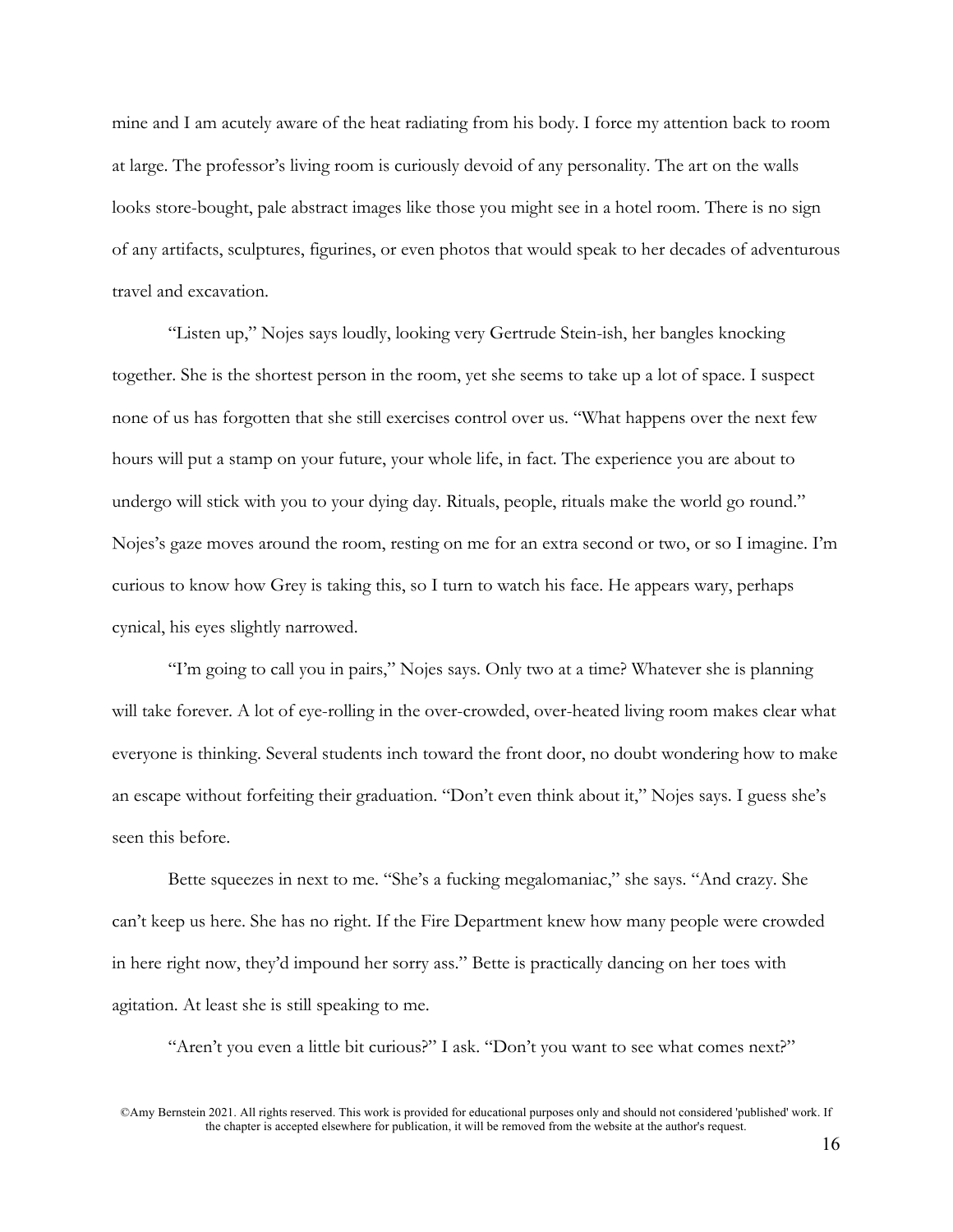mine and I am acutely aware of the heat radiating from his body. I force my attention back to room at large. The professor's living room is curiously devoid of any personality. The art on the walls looks store-bought, pale abstract images like those you might see in a hotel room. There is no sign of any artifacts, sculptures, figurines, or even photos that would speak to her decades of adventurous travel and excavation.

"Listen up," Nojes says loudly, looking very Gertrude Stein-ish, her bangles knocking together. She is the shortest person in the room, yet she seems to take up a lot of space. I suspect none of us has forgotten that she still exercises control over us. "What happens over the next few hours will put a stamp on your future, your whole life, in fact. The experience you are about to undergo will stick with you to your dying day. Rituals, people, rituals make the world go round." Nojes's gaze moves around the room, resting on me for an extra second or two, or so I imagine. I'm curious to know how Grey is taking this, so I turn to watch his face. He appears wary, perhaps cynical, his eyes slightly narrowed.

"I'm going to call you in pairs," Nojes says. Only two at a time? Whatever she is planning will take forever. A lot of eye-rolling in the over-crowded, over-heated living room makes clear what everyone is thinking. Several students inch toward the front door, no doubt wondering how to make an escape without forfeiting their graduation. "Don't even think about it," Nojes says. I guess she's seen this before.

Bette squeezes in next to me. "She's a fucking megalomaniac," she says. "And crazy. She can't keep us here. She has no right. If the Fire Department knew how many people were crowded in here right now, they'd impound her sorry ass." Bette is practically dancing on her toes with agitation. At least she is still speaking to me.

"Aren't you even a little bit curious?" I ask. "Don't you want to see what comes next?"

©Amy Bernstein 2021. All rights reserved. This work is provided for educational purposes only and should not considered 'published' work. If the chapter is accepted elsewhere for publication, it will be removed from the website at the author's request.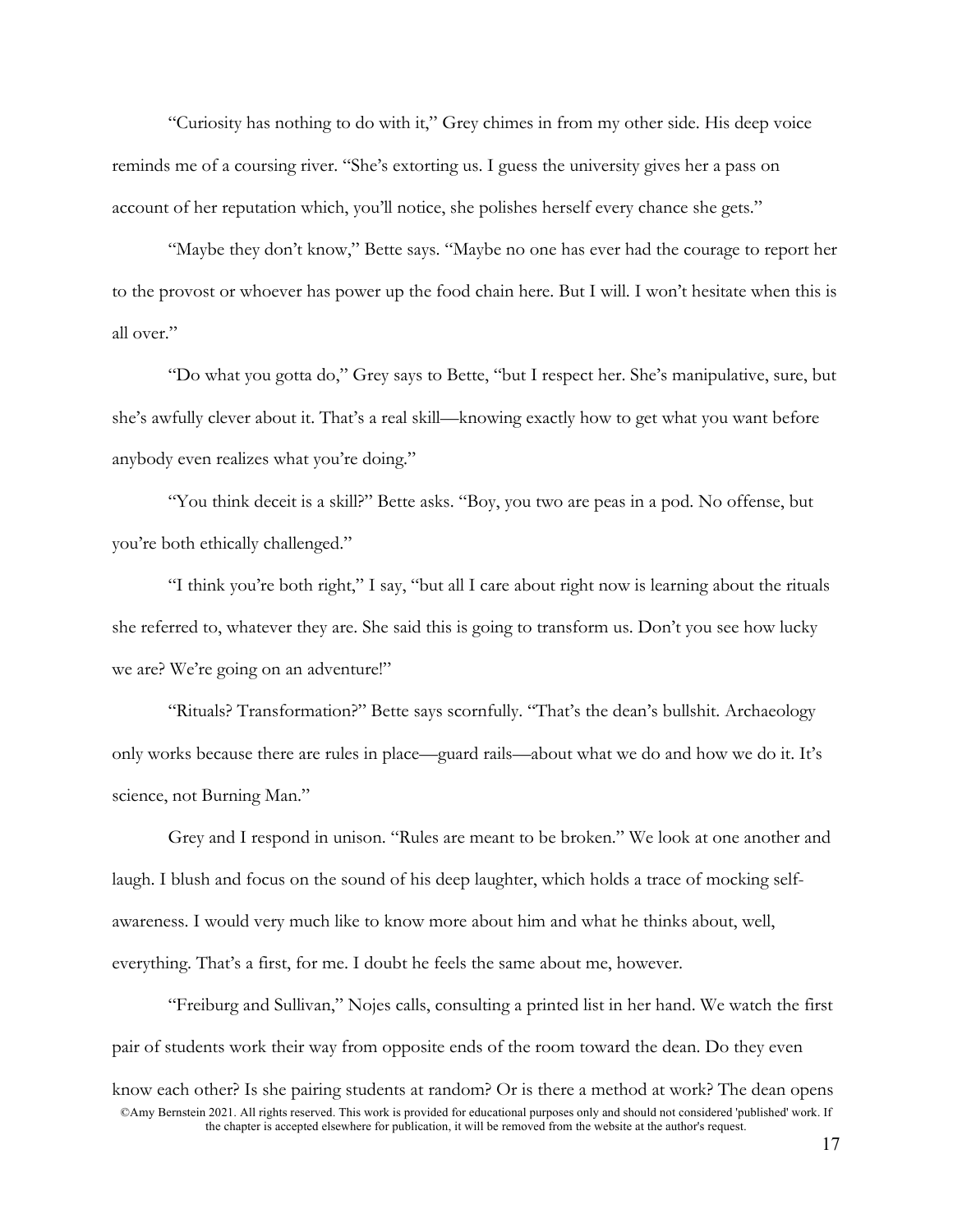"Curiosity has nothing to do with it," Grey chimes in from my other side. His deep voice reminds me of a coursing river. "She's extorting us. I guess the university gives her a pass on account of her reputation which, you'll notice, she polishes herself every chance she gets."

"Maybe they don't know," Bette says. "Maybe no one has ever had the courage to report her to the provost or whoever has power up the food chain here. But I will. I won't hesitate when this is all over."

"Do what you gotta do," Grey says to Bette, "but I respect her. She's manipulative, sure, but she's awfully clever about it. That's a real skill—knowing exactly how to get what you want before anybody even realizes what you're doing."

"You think deceit is a skill?" Bette asks. "Boy, you two are peas in a pod. No offense, but you're both ethically challenged."

"I think you're both right," I say, "but all I care about right now is learning about the rituals she referred to, whatever they are. She said this is going to transform us. Don't you see how lucky we are? We're going on an adventure!"

"Rituals? Transformation?" Bette says scornfully. "That's the dean's bullshit. Archaeology only works because there are rules in place—guard rails—about what we do and how we do it. It's science, not Burning Man."

Grey and I respond in unison. "Rules are meant to be broken." We look at one another and laugh. I blush and focus on the sound of his deep laughter, which holds a trace of mocking selfawareness. I would very much like to know more about him and what he thinks about, well, everything. That's a first, for me. I doubt he feels the same about me, however.

©Amy Bernstein 2021. All rights reserved. This work is provided for educational purposes only and should not considered 'published' work. If the chapter is accepted elsewhere for publication, it will be removed from the website at the author's request. "Freiburg and Sullivan," Nojes calls, consulting a printed list in her hand. We watch the first pair of students work their way from opposite ends of the room toward the dean. Do they even know each other? Is she pairing students at random? Or is there a method at work? The dean opens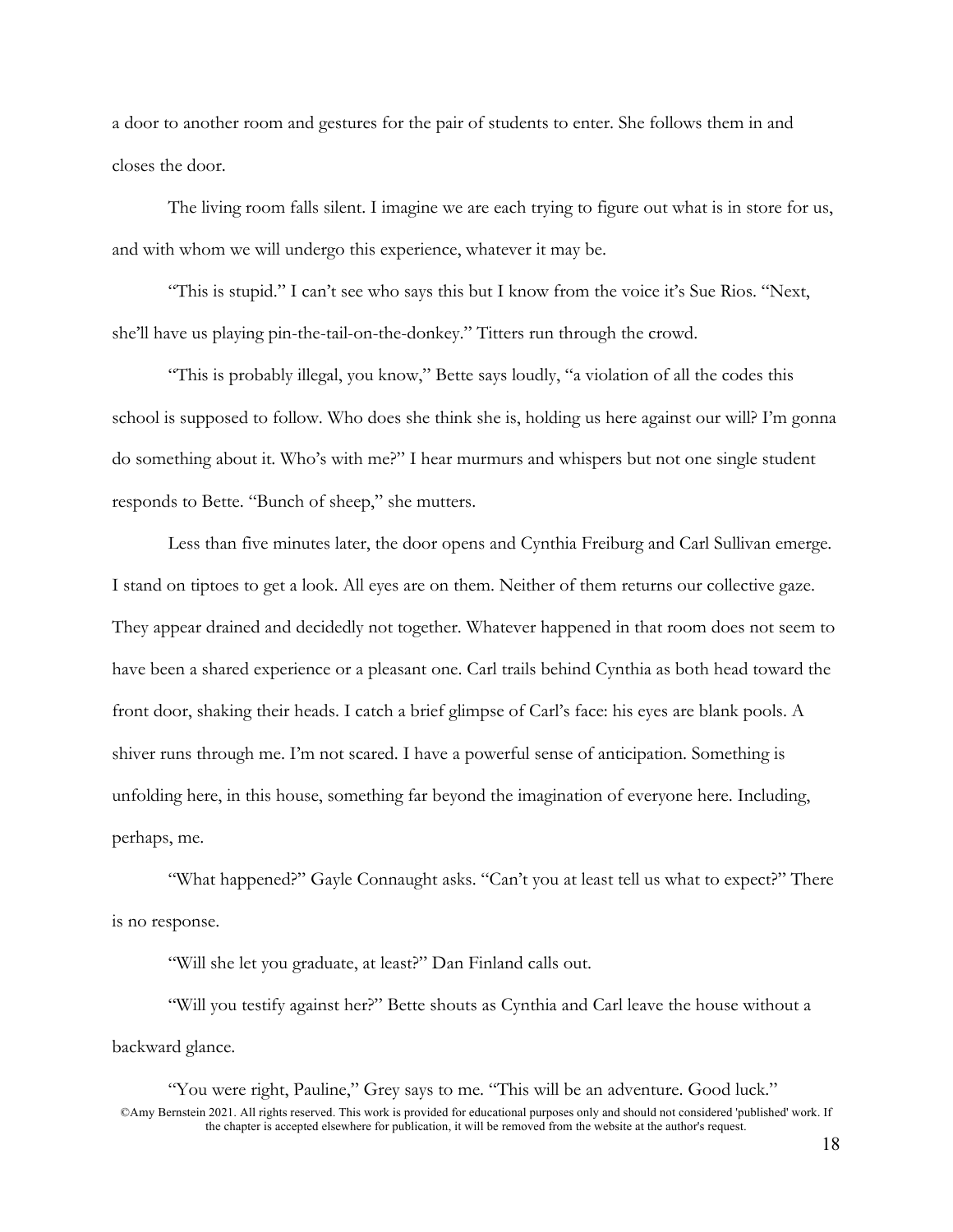a door to another room and gestures for the pair of students to enter. She follows them in and closes the door.

The living room falls silent. I imagine we are each trying to figure out what is in store for us, and with whom we will undergo this experience, whatever it may be.

"This is stupid." I can't see who says this but I know from the voice it's Sue Rios. "Next, she'll have us playing pin-the-tail-on-the-donkey." Titters run through the crowd.

"This is probably illegal, you know," Bette says loudly, "a violation of all the codes this school is supposed to follow. Who does she think she is, holding us here against our will? I'm gonna do something about it. Who's with me?" I hear murmurs and whispers but not one single student responds to Bette. "Bunch of sheep," she mutters.

Less than five minutes later, the door opens and Cynthia Freiburg and Carl Sullivan emerge. I stand on tiptoes to get a look. All eyes are on them. Neither of them returns our collective gaze. They appear drained and decidedly not together. Whatever happened in that room does not seem to have been a shared experience or a pleasant one. Carl trails behind Cynthia as both head toward the front door, shaking their heads. I catch a brief glimpse of Carl's face: his eyes are blank pools. A shiver runs through me. I'm not scared. I have a powerful sense of anticipation. Something is unfolding here, in this house, something far beyond the imagination of everyone here. Including, perhaps, me.

"What happened?" Gayle Connaught asks. "Can't you at least tell us what to expect?" There is no response.

"Will she let you graduate, at least?" Dan Finland calls out.

"Will you testify against her?" Bette shouts as Cynthia and Carl leave the house without a backward glance.

©Amy Bernstein 2021. All rights reserved. This work is provided for educational purposes only and should not considered 'published' work. If the chapter is accepted elsewhere for publication, it will be removed from the website at the author's request. "You were right, Pauline," Grey says to me. "This will be an adventure. Good luck."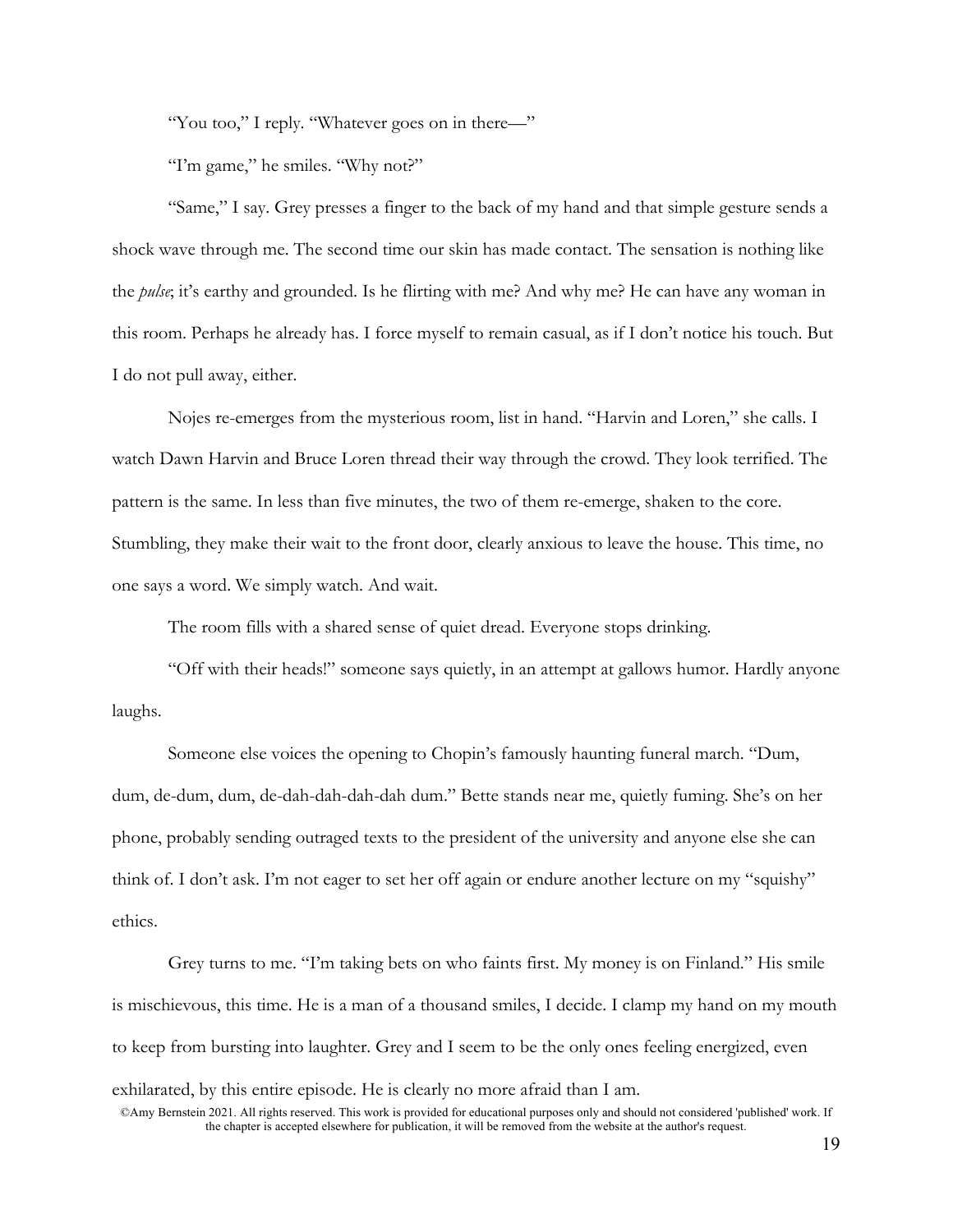"You too," I reply. "Whatever goes on in there—"

"I'm game," he smiles. "Why not?"

"Same," I say. Grey presses a finger to the back of my hand and that simple gesture sends a shock wave through me. The second time our skin has made contact. The sensation is nothing like the *pulse*; it's earthy and grounded. Is he flirting with me? And why me? He can have any woman in this room. Perhaps he already has. I force myself to remain casual, as if I don't notice his touch. But I do not pull away, either.

Nojes re-emerges from the mysterious room, list in hand. "Harvin and Loren," she calls. I watch Dawn Harvin and Bruce Loren thread their way through the crowd. They look terrified. The pattern is the same. In less than five minutes, the two of them re-emerge, shaken to the core. Stumbling, they make their wait to the front door, clearly anxious to leave the house. This time, no one says a word. We simply watch. And wait.

The room fills with a shared sense of quiet dread. Everyone stops drinking.

"Off with their heads!" someone says quietly, in an attempt at gallows humor. Hardly anyone laughs.

Someone else voices the opening to Chopin's famously haunting funeral march. "Dum, dum, de-dum, dum, de-dah-dah-dah-dah dum." Bette stands near me, quietly fuming. She's on her phone, probably sending outraged texts to the president of the university and anyone else she can think of. I don't ask. I'm not eager to set her off again or endure another lecture on my "squishy" ethics.

Grey turns to me. "I'm taking bets on who faints first. My money is on Finland." His smile is mischievous, this time. He is a man of a thousand smiles, I decide. I clamp my hand on my mouth to keep from bursting into laughter. Grey and I seem to be the only ones feeling energized, even exhilarated, by this entire episode. He is clearly no more afraid than I am.

<sup>©</sup>Amy Bernstein 2021. All rights reserved. This work is provided for educational purposes only and should not considered 'published' work. If the chapter is accepted elsewhere for publication, it will be removed from the website at the author's request.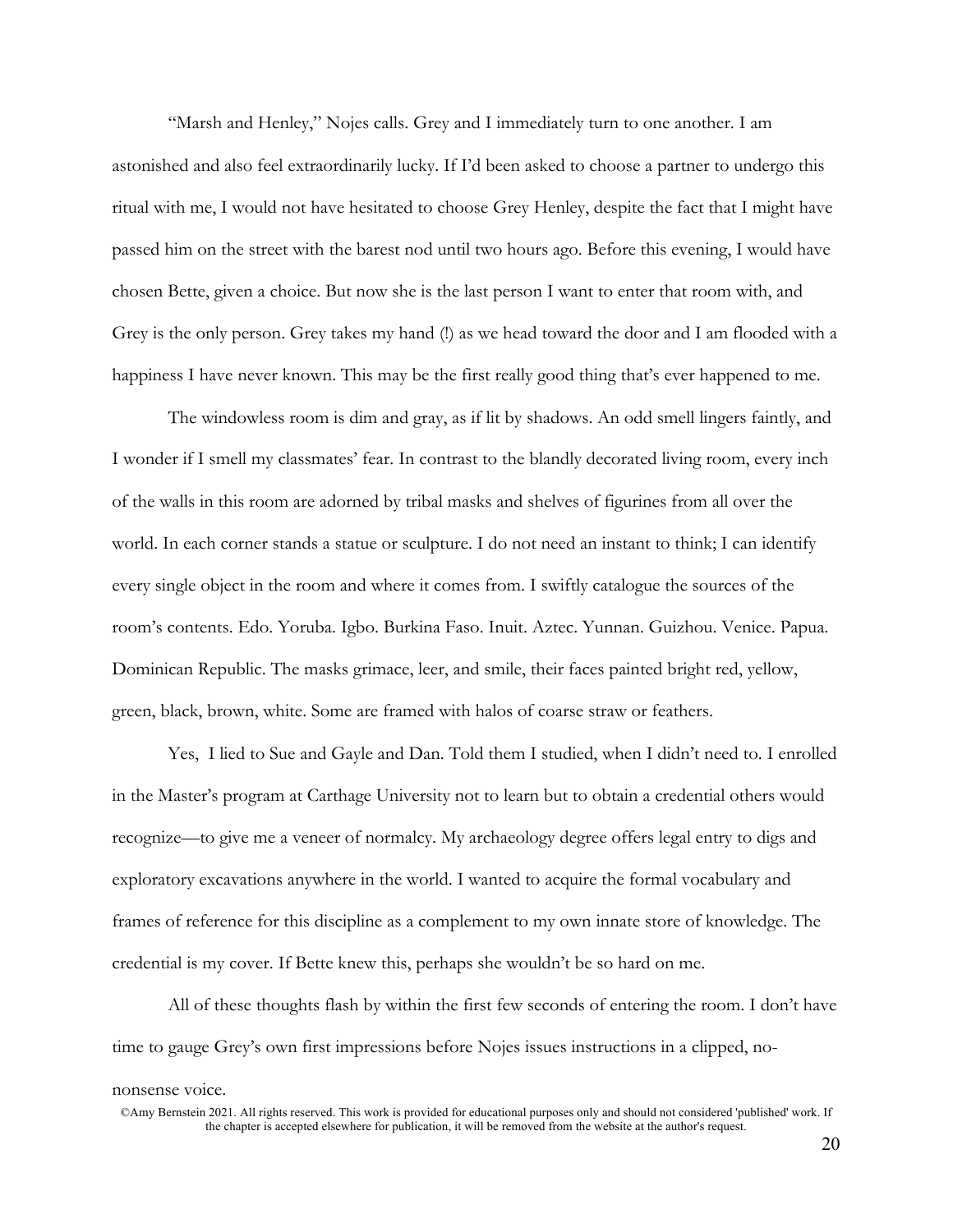"Marsh and Henley," Nojes calls. Grey and I immediately turn to one another. I am astonished and also feel extraordinarily lucky. If I'd been asked to choose a partner to undergo this ritual with me, I would not have hesitated to choose Grey Henley, despite the fact that I might have passed him on the street with the barest nod until two hours ago. Before this evening, I would have chosen Bette, given a choice. But now she is the last person I want to enter that room with, and Grey is the only person. Grey takes my hand (!) as we head toward the door and I am flooded with a happiness I have never known. This may be the first really good thing that's ever happened to me.

The windowless room is dim and gray, as if lit by shadows. An odd smell lingers faintly, and I wonder if I smell my classmates' fear. In contrast to the blandly decorated living room, every inch of the walls in this room are adorned by tribal masks and shelves of figurines from all over the world. In each corner stands a statue or sculpture. I do not need an instant to think; I can identify every single object in the room and where it comes from. I swiftly catalogue the sources of the room's contents. Edo. Yoruba. Igbo. Burkina Faso. Inuit. Aztec. Yunnan. Guizhou. Venice. Papua. Dominican Republic. The masks grimace, leer, and smile, their faces painted bright red, yellow, green, black, brown, white. Some are framed with halos of coarse straw or feathers.

Yes, I lied to Sue and Gayle and Dan. Told them I studied, when I didn't need to. I enrolled in the Master's program at Carthage University not to learn but to obtain a credential others would recognize—to give me a veneer of normalcy. My archaeology degree offers legal entry to digs and exploratory excavations anywhere in the world. I wanted to acquire the formal vocabulary and frames of reference for this discipline as a complement to my own innate store of knowledge. The credential is my cover. If Bette knew this, perhaps she wouldn't be so hard on me.

All of these thoughts flash by within the first few seconds of entering the room. I don't have time to gauge Grey's own first impressions before Nojes issues instructions in a clipped, no-

## nonsense voice.

<sup>©</sup>Amy Bernstein 2021. All rights reserved. This work is provided for educational purposes only and should not considered 'published' work. If the chapter is accepted elsewhere for publication, it will be removed from the website at the author's request.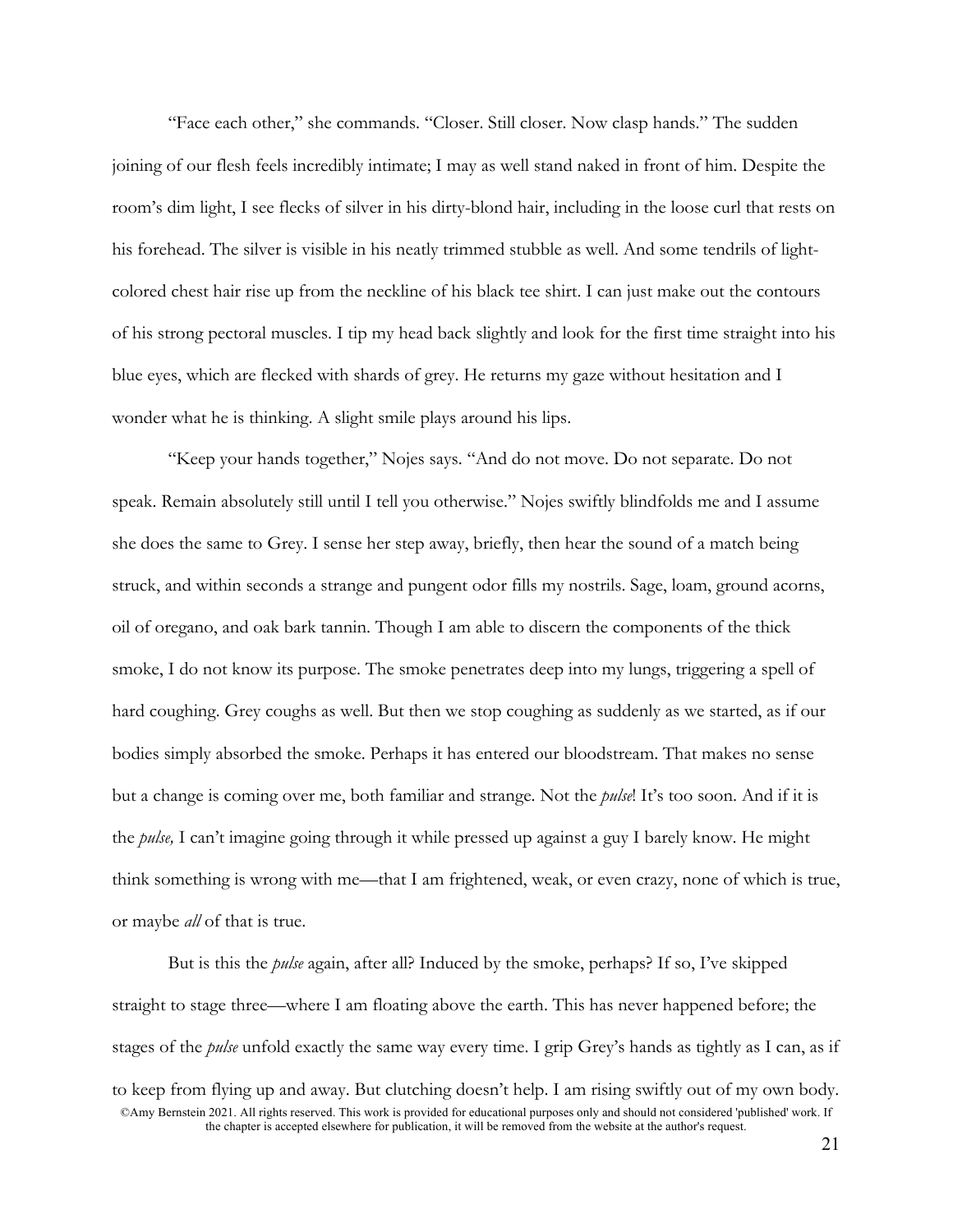"Face each other," she commands. "Closer. Still closer. Now clasp hands." The sudden joining of our flesh feels incredibly intimate; I may as well stand naked in front of him. Despite the room's dim light, I see flecks of silver in his dirty-blond hair, including in the loose curl that rests on his forehead. The silver is visible in his neatly trimmed stubble as well. And some tendrils of lightcolored chest hair rise up from the neckline of his black tee shirt. I can just make out the contours of his strong pectoral muscles. I tip my head back slightly and look for the first time straight into his blue eyes, which are flecked with shards of grey. He returns my gaze without hesitation and I wonder what he is thinking. A slight smile plays around his lips.

"Keep your hands together," Nojes says. "And do not move. Do not separate. Do not speak. Remain absolutely still until I tell you otherwise." Nojes swiftly blindfolds me and I assume she does the same to Grey. I sense her step away, briefly, then hear the sound of a match being struck, and within seconds a strange and pungent odor fills my nostrils. Sage, loam, ground acorns, oil of oregano, and oak bark tannin. Though I am able to discern the components of the thick smoke, I do not know its purpose. The smoke penetrates deep into my lungs, triggering a spell of hard coughing. Grey coughs as well. But then we stop coughing as suddenly as we started, as if our bodies simply absorbed the smoke. Perhaps it has entered our bloodstream. That makes no sense but a change is coming over me, both familiar and strange. Not the *pulse*! It's too soon. And if it is the *pulse,* I can't imagine going through it while pressed up against a guy I barely know. He might think something is wrong with me—that I am frightened, weak, or even crazy, none of which is true, or maybe *all* of that is true.

©Amy Bernstein 2021. All rights reserved. This work is provided for educational purposes only and should not considered 'published' work. If the chapter is accepted elsewhere for publication, it will be removed from the website at the author's request. But is this the *pulse* again, after all? Induced by the smoke, perhaps? If so, I've skipped straight to stage three—where I am floating above the earth. This has never happened before; the stages of the *pulse* unfold exactly the same way every time. I grip Grey's hands as tightly as I can, as if to keep from flying up and away. But clutching doesn't help. I am rising swiftly out of my own body.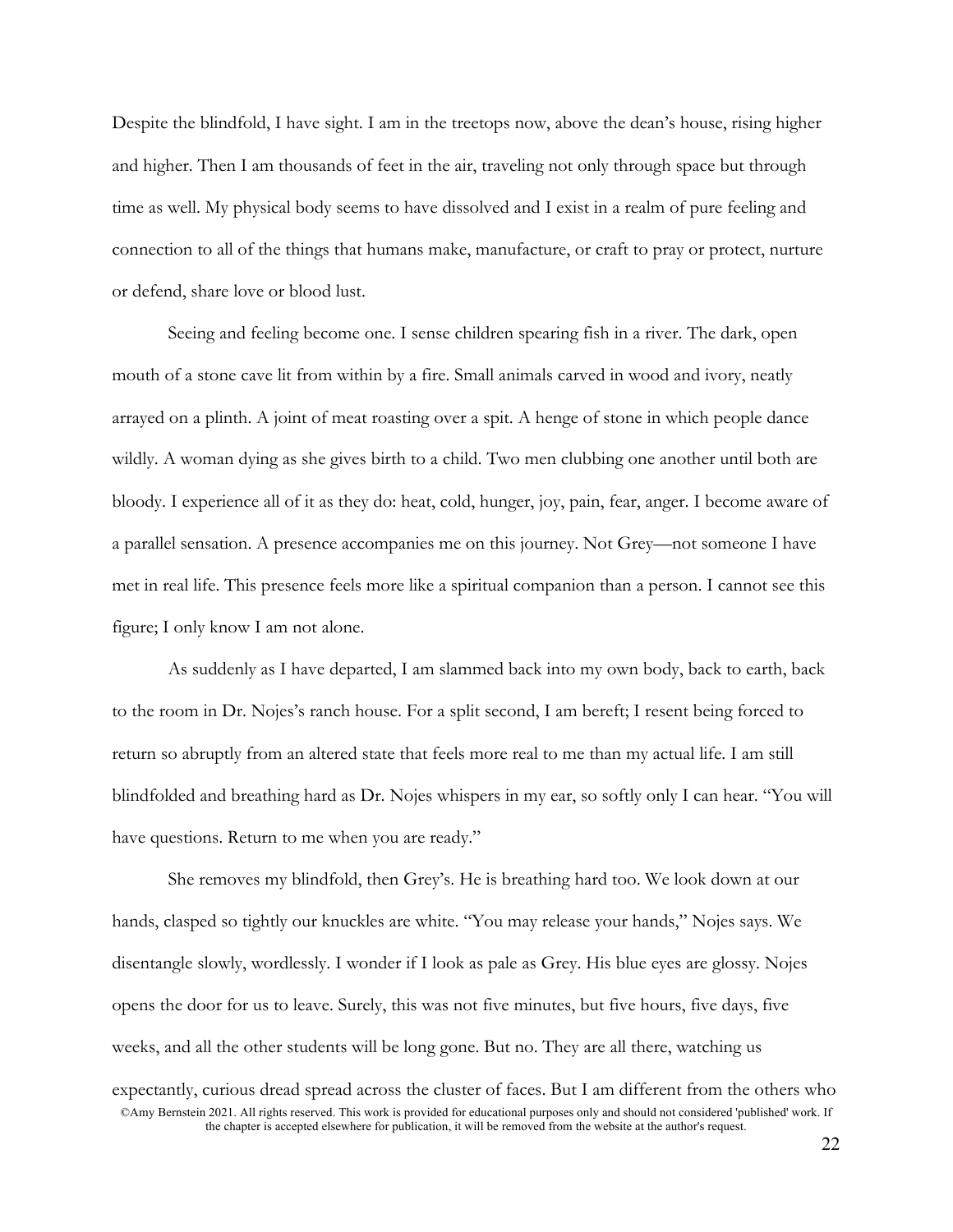Despite the blindfold, I have sight. I am in the treetops now, above the dean's house, rising higher and higher. Then I am thousands of feet in the air, traveling not only through space but through time as well. My physical body seems to have dissolved and I exist in a realm of pure feeling and connection to all of the things that humans make, manufacture, or craft to pray or protect, nurture or defend, share love or blood lust.

Seeing and feeling become one. I sense children spearing fish in a river. The dark, open mouth of a stone cave lit from within by a fire. Small animals carved in wood and ivory, neatly arrayed on a plinth. A joint of meat roasting over a spit. A henge of stone in which people dance wildly. A woman dying as she gives birth to a child. Two men clubbing one another until both are bloody. I experience all of it as they do: heat, cold, hunger, joy, pain, fear, anger. I become aware of a parallel sensation. A presence accompanies me on this journey. Not Grey—not someone I have met in real life. This presence feels more like a spiritual companion than a person. I cannot see this figure; I only know I am not alone.

As suddenly as I have departed, I am slammed back into my own body, back to earth, back to the room in Dr. Nojes's ranch house. For a split second, I am bereft; I resent being forced to return so abruptly from an altered state that feels more real to me than my actual life. I am still blindfolded and breathing hard as Dr. Nojes whispers in my ear, so softly only I can hear. "You will have questions. Return to me when you are ready."

©Amy Bernstein 2021. All rights reserved. This work is provided for educational purposes only and should not considered 'published' work. If the chapter is accepted elsewhere for publication, it will be removed from the website at the author's request. She removes my blindfold, then Grey's. He is breathing hard too. We look down at our hands, clasped so tightly our knuckles are white. "You may release your hands," Nojes says. We disentangle slowly, wordlessly. I wonder if I look as pale as Grey. His blue eyes are glossy. Nojes opens the door for us to leave. Surely, this was not five minutes, but five hours, five days, five weeks, and all the other students will be long gone. But no. They are all there, watching us expectantly, curious dread spread across the cluster of faces. But I am different from the others who